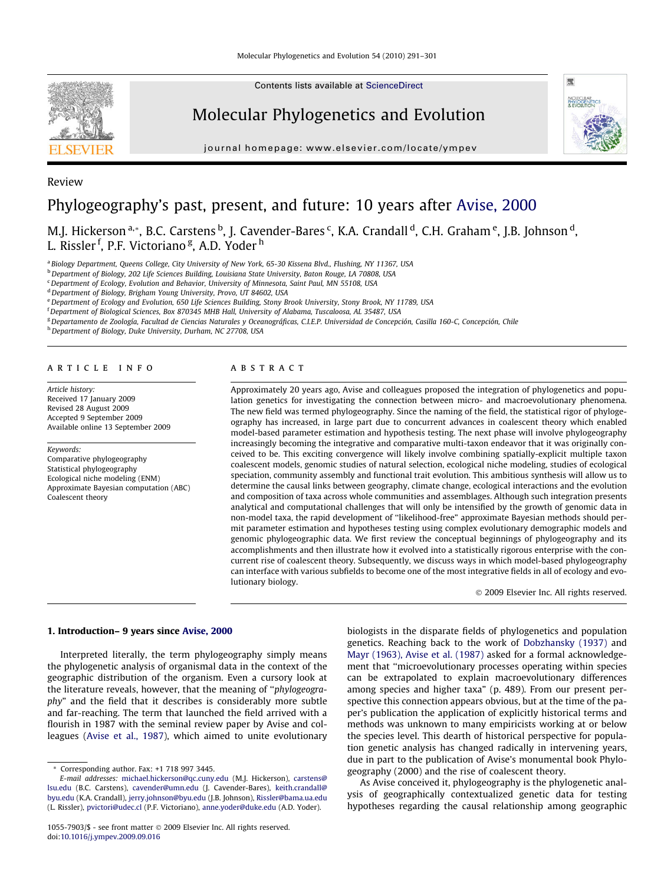

Contents lists available at [ScienceDirect](http://www.sciencedirect.com/science/journal/10557903)

# Molecular Phylogenetics and Evolution

journal homepage: [www.elsevier.com/locate/ympev](http://www.elsevier.com/locate/ympev)



# Review Phylogeography's past, present, and future: 10 years after [Avise, 2000](#page-6-0)

M.J. Hickerson <sup>a,</sup>\*, B.C. Carstens <sup>b</sup>, J. Cavender-Bares <sup>c</sup>, K.A. Crandall <sup>d</sup>, C.H. Graham <sup>e</sup>, J.B. Johnson <sup>d</sup>, L. Rissler <sup>f</sup>, P.F. Victoriano <sup>g</sup>, A.D. Yoder <sup>h</sup>

<sup>a</sup> Biology Department, Queens College, City University of New York, 65-30 Kissena Blvd., Flushing, NY 11367, USA

b Department of Biology, 202 Life Sciences Building, Louisiana State University, Baton Rouge, LA 70808, USA

<sup>c</sup> Department of Ecology, Evolution and Behavior, University of Minnesota, Saint Paul, MN 55108, USA

<sup>d</sup> Department of Biology, Brigham Young University, Provo, UT 84602, USA

eDepartment of Ecology and Evolution, 650 Life Sciences Building, Stony Brook University, Stony Brook, NY 11789, USA

f Department of Biological Sciences, Box 870345 MHB Hall, University of Alabama, Tuscaloosa, AL 35487, USA

<sup>g</sup> Departamento de Zoología, Facultad de Ciencias Naturales y Oceanográficas, C.I.E.P. Universidad de Concepción, Casilla 160-C, Concepción, Chile

h Department of Biology, Duke University, Durham, NC 27708, USA

#### article info

Article history: Received 17 January 2009 Revised 28 August 2009 Accepted 9 September 2009 Available online 13 September 2009

#### Keywords:

Comparative phylogeography Statistical phylogeography Ecological niche modeling (ENM) Approximate Bayesian computation (ABC) Coalescent theory

# ABSTRACT

Approximately 20 years ago, Avise and colleagues proposed the integration of phylogenetics and population genetics for investigating the connection between micro- and macroevolutionary phenomena. The new field was termed phylogeography. Since the naming of the field, the statistical rigor of phylogeography has increased, in large part due to concurrent advances in coalescent theory which enabled model-based parameter estimation and hypothesis testing. The next phase will involve phylogeography increasingly becoming the integrative and comparative multi-taxon endeavor that it was originally conceived to be. This exciting convergence will likely involve combining spatially-explicit multiple taxon coalescent models, genomic studies of natural selection, ecological niche modeling, studies of ecological speciation, community assembly and functional trait evolution. This ambitious synthesis will allow us to determine the causal links between geography, climate change, ecological interactions and the evolution and composition of taxa across whole communities and assemblages. Although such integration presents analytical and computational challenges that will only be intensified by the growth of genomic data in non-model taxa, the rapid development of ''likelihood-free" approximate Bayesian methods should permit parameter estimation and hypotheses testing using complex evolutionary demographic models and genomic phylogeographic data. We first review the conceptual beginnings of phylogeography and its accomplishments and then illustrate how it evolved into a statistically rigorous enterprise with the concurrent rise of coalescent theory. Subsequently, we discuss ways in which model-based phylogeography can interface with various subfields to become one of the most integrative fields in all of ecology and evolutionary biology.

- 2009 Elsevier Inc. All rights reserved.

### 1. Introduction– 9 years since [Avise, 2000](#page-6-0)

Interpreted literally, the term phylogeography simply means the phylogenetic analysis of organismal data in the context of the geographic distribution of the organism. Even a cursory look at the literature reveals, however, that the meaning of ''phylogeography" and the field that it describes is considerably more subtle and far-reaching. The term that launched the field arrived with a flourish in 1987 with the seminal review paper by Avise and colleagues ([Avise et al., 1987\)](#page-6-0), which aimed to unite evolutionary biologists in the disparate fields of phylogenetics and population genetics. Reaching back to the work of [Dobzhansky \(1937\)](#page-7-0) and [Mayr \(1963\), Avise et al. \(1987\)](#page-8-0) asked for a formal acknowledgement that ''microevolutionary processes operating within species can be extrapolated to explain macroevolutionary differences among species and higher taxa" (p. 489). From our present perspective this connection appears obvious, but at the time of the paper's publication the application of explicitly historical terms and methods was unknown to many empiricists working at or below the species level. This dearth of historical perspective for population genetic analysis has changed radically in intervening years, due in part to the publication of Avise's monumental book Phylogeography (2000) and the rise of coalescent theory.

As Avise conceived it, phylogeography is the phylogenetic analysis of geographically contextualized genetic data for testing hypotheses regarding the causal relationship among geographic

<sup>\*</sup> Corresponding author. Fax: +1 718 997 3445.

E-mail addresses: [michael.hickerson@qc.cuny.edu](mailto:michael.hickerson@qc.cuny.edu) (M.J. Hickerson), [carstens@](mailto:carstens@lsu.edu) [lsu.edu](mailto:carstens@lsu.edu) (B.C. Carstens), [cavender@umn.edu](mailto:cavender@umn.edu) (J. Cavender-Bares), [keith.crandall@](mailto:keith.crandall@byu.edu) [byu.edu](mailto:keith.crandall@byu.edu) (K.A. Crandall), [jerry.johnson@byu.edu](mailto:jerry.johnson@byu.edu) (J.B. Johnson), [Rissler@bama.ua.edu](mailto:Rissler@bama.ua.edu) (L. Rissler), [pvictori@udec.cl](mailto:pvictori@udec.cl) (P.F. Victoriano), [anne.yoder@duke.edu](mailto:anne.yoder@duke.edu) (A.D. Yoder).

<sup>1055-7903/\$ -</sup> see front matter @ 2009 Elsevier Inc. All rights reserved. doi[:10.1016/j.ympev.2009.09.016](http://dx.doi.org/10.1016/j.ympev.2009.09.016)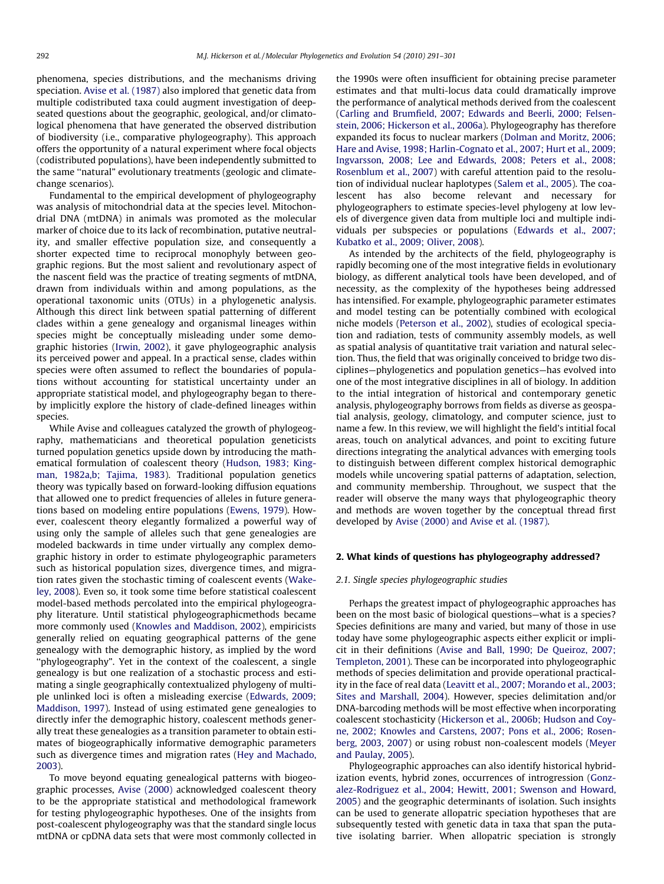phenomena, species distributions, and the mechanisms driving speciation. [Avise et al. \(1987\)](#page-6-0) also implored that genetic data from multiple codistributed taxa could augment investigation of deepseated questions about the geographic, geological, and/or climatological phenomena that have generated the observed distribution of biodiversity (i.e., comparative phylogeography). This approach offers the opportunity of a natural experiment where focal objects (codistributed populations), have been independently submitted to the same ''natural" evolutionary treatments (geologic and climatechange scenarios).

Fundamental to the empirical development of phylogeography was analysis of mitochondrial data at the species level. Mitochondrial DNA (mtDNA) in animals was promoted as the molecular marker of choice due to its lack of recombination, putative neutrality, and smaller effective population size, and consequently a shorter expected time to reciprocal monophyly between geographic regions. But the most salient and revolutionary aspect of the nascent field was the practice of treating segments of mtDNA, drawn from individuals within and among populations, as the operational taxonomic units (OTUs) in a phylogenetic analysis. Although this direct link between spatial patterning of different clades within a gene genealogy and organismal lineages within species might be conceptually misleading under some demographic histories ([Irwin, 2002](#page-8-0)), it gave phylogeographic analysis its perceived power and appeal. In a practical sense, clades within species were often assumed to reflect the boundaries of populations without accounting for statistical uncertainty under an appropriate statistical model, and phylogeography began to thereby implicitly explore the history of clade-defined lineages within species.

While Avise and colleagues catalyzed the growth of phylogeography, mathematicians and theoretical population geneticists turned population genetics upside down by introducing the mathematical formulation of coalescent theory ([Hudson, 1983; King](#page-8-0)[man, 1982a,b; Tajima, 1983](#page-8-0)). Traditional population genetics theory was typically based on forward-looking diffusion equations that allowed one to predict frequencies of alleles in future generations based on modeling entire populations [\(Ewens, 1979\)](#page-7-0). However, coalescent theory elegantly formalized a powerful way of using only the sample of alleles such that gene genealogies are modeled backwards in time under virtually any complex demographic history in order to estimate phylogeographic parameters such as historical population sizes, divergence times, and migration rates given the stochastic timing of coalescent events ([Wake](#page-10-0)[ley, 2008](#page-10-0)). Even so, it took some time before statistical coalescent model-based methods percolated into the empirical phylogeography literature. Until statistical phylogeographicmethods became more commonly used ([Knowles and Maddison, 2002](#page-8-0)), empiricists generally relied on equating geographical patterns of the gene genealogy with the demographic history, as implied by the word ''phylogeography". Yet in the context of the coalescent, a single genealogy is but one realization of a stochastic process and estimating a single geographically contextualized phylogeny of multiple unlinked loci is often a misleading exercise [\(Edwards, 2009;](#page-7-0) [Maddison, 1997](#page-7-0)). Instead of using estimated gene genealogies to directly infer the demographic history, coalescent methods generally treat these genealogies as a transition parameter to obtain estimates of biogeographically informative demographic parameters such as divergence times and migration rates ([Hey and Machado,](#page-7-0) [2003\)](#page-7-0).

To move beyond equating genealogical patterns with biogeographic processes, [Avise \(2000\)](#page-6-0) acknowledged coalescent theory to be the appropriate statistical and methodological framework for testing phylogeographic hypotheses. One of the insights from post-coalescent phylogeography was that the standard single locus mtDNA or cpDNA data sets that were most commonly collected in the 1990s were often insufficient for obtaining precise parameter estimates and that multi-locus data could dramatically improve the performance of analytical methods derived from the coalescent ([Carling and Brumfield, 2007; Edwards and Beerli, 2000; Felsen](#page-6-0)[stein, 2006; Hickerson et al., 2006a](#page-6-0)). Phylogeography has therefore expanded its focus to nuclear markers ([Dolman and Moritz, 2006;](#page-7-0) [Hare and Avise, 1998; Harlin-Cognato et al., 2007; Hurt et al., 2009;](#page-7-0) [Ingvarsson, 2008; Lee and Edwards, 2008; Peters et al., 2008;](#page-7-0) [Rosenblum et al., 2007](#page-7-0)) with careful attention paid to the resolution of individual nuclear haplotypes ([Salem et al., 2005](#page-9-0)). The coalescent has also become relevant and necessary for phylogeographers to estimate species-level phylogeny at low levels of divergence given data from multiple loci and multiple individuals per subspecies or populations [\(Edwards et al., 2007;](#page-7-0) [Kubatko et al., 2009; Oliver, 2008\)](#page-7-0).

As intended by the architects of the field, phylogeography is rapidly becoming one of the most integrative fields in evolutionary biology, as different analytical tools have been developed, and of necessity, as the complexity of the hypotheses being addressed has intensified. For example, phylogeographic parameter estimates and model testing can be potentially combined with ecological niche models ([Peterson et al., 2002](#page-9-0)), studies of ecological speciation and radiation, tests of community assembly models, as well as spatial analysis of quantitative trait variation and natural selection. Thus, the field that was originally conceived to bridge two disciplines—phylogenetics and population genetics—has evolved into one of the most integrative disciplines in all of biology. In addition to the intial integration of historical and contemporary genetic analysis, phylogeography borrows from fields as diverse as geospatial analysis, geology, climatology, and computer science, just to name a few. In this review, we will highlight the field's intitial focal areas, touch on analytical advances, and point to exciting future directions integrating the analytical advances with emerging tools to distinguish between different complex historical demographic models while uncovering spatial patterns of adaptation, selection, and community membership. Throughout, we suspect that the reader will observe the many ways that phylogeographic theory and methods are woven together by the conceptual thread first developed by [Avise \(2000\) and Avise et al. \(1987\)](#page-6-0).

### 2. What kinds of questions has phylogeography addressed?

### 2.1. Single species phylogeographic studies

Perhaps the greatest impact of phylogeographic approaches has been on the most basic of biological questions—what is a species? Species definitions are many and varied, but many of those in use today have some phylogeographic aspects either explicit or implicit in their definitions ([Avise and Ball, 1990; De Queiroz, 2007;](#page-6-0) [Templeton, 2001](#page-6-0)). These can be incorporated into phylogeographic methods of species delimitation and provide operational practicality in the face of real data ([Leavitt et al., 2007; Morando et al., 2003;](#page-8-0) [Sites and Marshall, 2004\)](#page-8-0). However, species delimitation and/or DNA-barcoding methods will be most effective when incorporating coalescent stochasticity [\(Hickerson et al., 2006b; Hudson and Coy](#page-8-0)[ne, 2002; Knowles and Carstens, 2007; Pons et al., 2006; Rosen](#page-8-0)[berg, 2003, 2007](#page-8-0)) or using robust non-coalescent models ([Meyer](#page-8-0) [and Paulay, 2005\)](#page-8-0).

Phylogeographic approaches can also identify historical hybridization events, hybrid zones, occurrences of introgression [\(Gonz](#page-7-0)[alez-Rodriguez et al., 2004; Hewitt, 2001; Swenson and Howard,](#page-7-0) [2005\)](#page-7-0) and the geographic determinants of isolation. Such insights can be used to generate allopatric speciation hypotheses that are subsequently tested with genetic data in taxa that span the putative isolating barrier. When allopatric speciation is strongly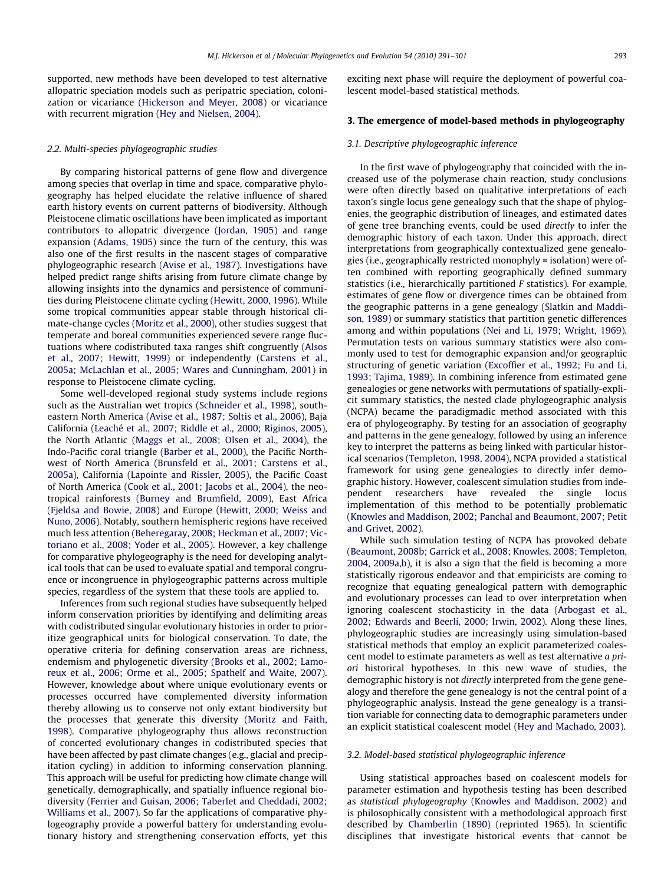supported, new methods have been developed to test alternative allopatric speciation models such as peripatric speciation, colonization or vicariance [\(Hickerson and Meyer, 2008](#page-8-0)) or vicariance with recurrent migration [\(Hey and Nielsen, 2004](#page-7-0)).

#### 2.2. Multi-species phylogeographic studies

By comparing historical patterns of gene flow and divergence among species that overlap in time and space, comparative phylogeography has helped elucidate the relative influence of shared earth history events on current patterns of biodiversity. Although Pleistocene climatic oscillations have been implicated as important contributors to allopatric divergence ([Jordan, 1905\)](#page-8-0) and range expansion [\(Adams, 1905](#page-6-0)) since the turn of the century, this was also one of the first results in the nascent stages of comparative phylogeographic research [\(Avise et al., 1987](#page-6-0)). Investigations have helped predict range shifts arising from future climate change by allowing insights into the dynamics and persistence of communities during Pleistocene climate cycling ([Hewitt, 2000, 1996\)](#page-7-0). While some tropical communities appear stable through historical climate-change cycles ([Moritz et al., 2000\)](#page-8-0), other studies suggest that temperate and boreal communities experienced severe range fluctuations where codistributed taxa ranges shift congruently ([Alsos](#page-6-0) [et al., 2007; Hewitt, 1999](#page-6-0)) or independently [\(Carstens et al.,](#page-7-0) [2005a; McLachlan et al., 2005; Wares and Cunningham, 2001](#page-7-0)) in response to Pleistocene climate cycling.

Some well-developed regional study systems include regions such as the Australian wet tropics ([Schneider et al., 1998](#page-9-0)), southeastern North America [\(Avise et al., 1987; Soltis et al., 2006](#page-6-0)), Baja California ([Leaché et al., 2007; Riddle et al., 2000; Riginos, 2005\)](#page-8-0), the North Atlantic ([Maggs et al., 2008; Olsen et al., 2004](#page-8-0)), the Indo-Pacific coral triangle [\(Barber et al., 2000\)](#page-6-0), the Pacific Northwest of North America ([Brunsfeld et al., 2001; Carstens et al.,](#page-6-0) [2005a\)](#page-6-0), California [\(Lapointe and Rissler, 2005\)](#page-8-0), the Pacific Coast of North America ([Cook et al., 2001; Jacobs et al., 2004\)](#page-7-0), the neotropical rainforests [\(Burney and Brumfield, 2009](#page-6-0)), East Africa ([Fjeldsa and Bowie, 2008](#page-7-0)) and Europe [\(Hewitt, 2000; Weiss and](#page-7-0) [Nuno, 2006](#page-7-0)). Notably, southern hemispheric regions have received much less attention [\(Beheregaray, 2008; Heckman et al., 2007; Vic](#page-6-0)[toriano et al., 2008; Yoder et al., 2005](#page-6-0)). However, a key challenge for comparative phylogeography is the need for developing analytical tools that can be used to evaluate spatial and temporal congruence or incongruence in phylogeographic patterns across multiple species, regardless of the system that these tools are applied to.

Inferences from such regional studies have subsequently helped inform conservation priorities by identifying and delimiting areas with codistributed singular evolutionary histories in order to prioritize geographical units for biological conservation. To date, the operative criteria for defining conservation areas are richness, endemism and phylogenetic diversity ([Brooks et al., 2002; Lamo](#page-6-0)[reux et al., 2006; Orme et al., 2005; Spathelf and Waite, 2007\)](#page-6-0). However, knowledge about where unique evolutionary events or processes occurred have complemented diversity information thereby allowing us to conserve not only extant biodiversity but the processes that generate this diversity [\(Moritz and Faith,](#page-8-0) [1998\)](#page-8-0). Comparative phylogeography thus allows reconstruction of concerted evolutionary changes in codistributed species that have been affected by past climate changes (e.g., glacial and precipitation cycling) in addition to informing conservation planning. This approach will be useful for predicting how climate change will genetically, demographically, and spatially influence regional biodiversity [\(Ferrier and Guisan, 2006; Taberlet and Cheddadi, 2002;](#page-7-0) [Williams et al., 2007](#page-7-0)). So far the applications of comparative phylogeography provide a powerful battery for understanding evolutionary history and strengthening conservation efforts, yet this exciting next phase will require the deployment of powerful coalescent model-based statistical methods.

#### 3. The emergence of model-based methods in phylogeography

#### 3.1. Descriptive phylogeographic inference

In the first wave of phylogeography that coincided with the increased use of the polymerase chain reaction, study conclusions were often directly based on qualitative interpretations of each taxon's single locus gene genealogy such that the shape of phylogenies, the geographic distribution of lineages, and estimated dates of gene tree branching events, could be used directly to infer the demographic history of each taxon. Under this approach, direct interpretations from geographically contextualized gene genealogies (i.e., geographically restricted monophyly = isolation) were often combined with reporting geographically defined summary statistics (i.e., hierarchically partitioned F statistics). For example, estimates of gene flow or divergence times can be obtained from the geographic patterns in a gene genealogy ([Slatkin and Maddi](#page-9-0)[son, 1989](#page-9-0)) or summary statistics that partition genetic differences among and within populations ([Nei and Li, 1979; Wright, 1969\)](#page-8-0). Permutation tests on various summary statistics were also commonly used to test for demographic expansion and/or geographic structuring of genetic variation [\(Excoffier et al., 1992; Fu and Li,](#page-7-0) [1993; Tajima, 1989](#page-7-0)). In combining inference from estimated gene genealogies or gene networks with permutations of spatially-explicit summary statistics, the nested clade phylogeographic analysis (NCPA) became the paradigmadic method associated with this era of phylogeography. By testing for an association of geography and patterns in the gene genealogy, followed by using an inference key to interpret the patterns as being linked with particular historical scenarios [\(Templeton, 1998, 2004\)](#page-9-0), NCPA provided a statistical framework for using gene genealogies to directly infer demographic history. However, coalescent simulation studies from independent researchers have revealed the single locus implementation of this method to be potentially problematic ([Knowles and Maddison, 2002; Panchal and Beaumont, 2007; Petit](#page-8-0) [and Grivet, 2002\)](#page-8-0).

While such simulation testing of NCPA has provoked debate ([Beaumont, 2008b; Garrick et al., 2008; Knowles, 2008; Templeton,](#page-6-0) [2004, 2009a,b\)](#page-6-0), it is also a sign that the field is becoming a more statistically rigorous endeavor and that empiricists are coming to recognize that equating genealogical pattern with demographic and evolutionary processes can lead to over interpretation when ignoring coalescent stochasticity in the data ([Arbogast et al.,](#page-6-0) [2002; Edwards and Beerli, 2000; Irwin, 2002](#page-6-0)). Along these lines, phylogeographic studies are increasingly using simulation-based statistical methods that employ an explicit parameterized coalescent model to estimate parameters as well as test alternative a priori historical hypotheses. In this new wave of studies, the demographic history is not directly interpreted from the gene genealogy and therefore the gene genealogy is not the central point of a phylogeographic analysis. Instead the gene genealogy is a transition variable for connecting data to demographic parameters under an explicit statistical coalescent model [\(Hey and Machado, 2003](#page-7-0)).

#### 3.2. Model-based statistical phylogeographic inference

Using statistical approaches based on coalescent models for parameter estimation and hypothesis testing has been described as statistical phylogeography ([Knowles and Maddison, 2002\)](#page-8-0) and is philosophically consistent with a methodological approach first described by [Chamberlin \(1890\)](#page-7-0) (reprinted 1965). In scientific disciplines that investigate historical events that cannot be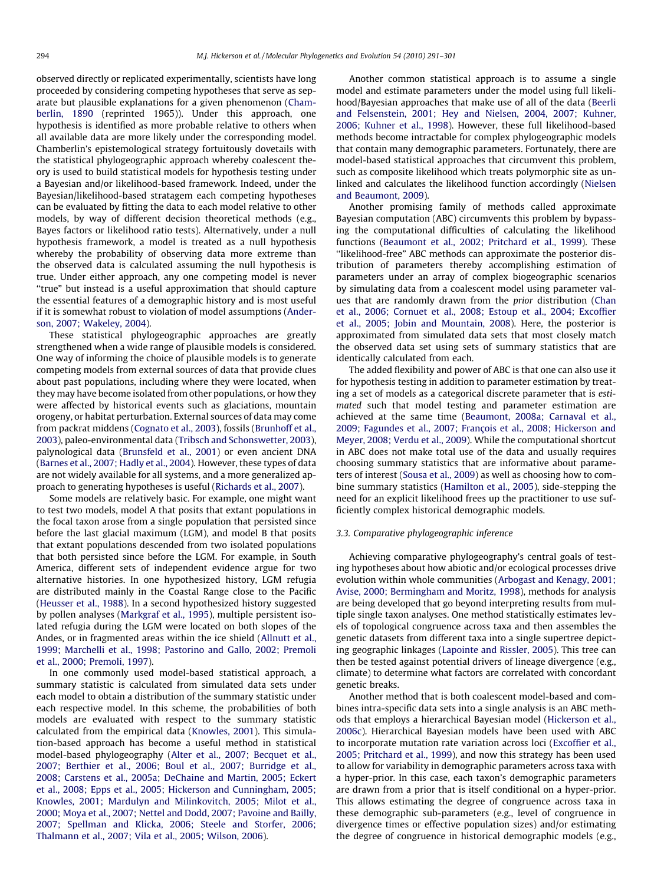observed directly or replicated experimentally, scientists have long proceeded by considering competing hypotheses that serve as separate but plausible explanations for a given phenomenon ([Cham](#page-7-0)[berlin, 1890](#page-7-0) (reprinted 1965)). Under this approach, one hypothesis is identified as more probable relative to others when all available data are more likely under the corresponding model. Chamberlin's epistemological strategy fortuitously dovetails with the statistical phylogeographic approach whereby coalescent theory is used to build statistical models for hypothesis testing under a Bayesian and/or likelihood-based framework. Indeed, under the Bayesian/likelihood-based stratagem each competing hypotheses can be evaluated by fitting the data to each model relative to other models, by way of different decision theoretical methods (e.g., Bayes factors or likelihood ratio tests). Alternatively, under a null hypothesis framework, a model is treated as a null hypothesis whereby the probability of observing data more extreme than the observed data is calculated assuming the null hypothesis is true. Under either approach, any one competing model is never ''true" but instead is a useful approximation that should capture the essential features of a demographic history and is most useful if it is somewhat robust to violation of model assumptions ([Ander](#page-6-0)[son, 2007; Wakeley, 2004](#page-6-0)).

These statistical phylogeographic approaches are greatly strengthened when a wide range of plausible models is considered. One way of informing the choice of plausible models is to generate competing models from external sources of data that provide clues about past populations, including where they were located, when they may have become isolated from other populations, or how they were affected by historical events such as glaciations, mountain orogeny, or habitat perturbation. External sources of data may come from packrat middens ([Cognato et al., 2003\)](#page-7-0), fossils ([Brunhoff et al.,](#page-6-0) [2003\)](#page-6-0), paleo-environmental data [\(Tribsch and Schonswetter, 2003\)](#page-9-0), palynological data [\(Brunsfeld et al., 2001](#page-6-0)) or even ancient DNA ([Barnes et al., 2007; Hadly et al., 2004\)](#page-6-0). However, these types of data are not widely available for all systems, and a more generalized approach to generating hypotheses is useful [\(Richards et al., 2007](#page-9-0)).

Some models are relatively basic. For example, one might want to test two models, model A that posits that extant populations in the focal taxon arose from a single population that persisted since before the last glacial maximum (LGM), and model B that posits that extant populations descended from two isolated populations that both persisted since before the LGM. For example, in South America, different sets of independent evidence argue for two alternative histories. In one hypothesized history, LGM refugia are distributed mainly in the Coastal Range close to the Pacific ([Heusser et al., 1988\)](#page-7-0). In a second hypothesized history suggested by pollen analyses [\(Markgraf et al., 1995\)](#page-8-0), multiple persistent isolated refugia during the LGM were located on both slopes of the Andes, or in fragmented areas within the ice shield [\(Allnutt et al.,](#page-6-0) [1999; Marchelli et al., 1998; Pastorino and Gallo, 2002; Premoli](#page-6-0) [et al., 2000; Premoli, 1997](#page-6-0)).

In one commonly used model-based statistical approach, a summary statistic is calculated from simulated data sets under each model to obtain a distribution of the summary statistic under each respective model. In this scheme, the probabilities of both models are evaluated with respect to the summary statistic calculated from the empirical data [\(Knowles, 2001](#page-8-0)). This simulation-based approach has become a useful method in statistical model-based phylogeography ([Alter et al., 2007; Becquet et al.,](#page-6-0) [2007; Berthier et al., 2006; Boul et al., 2007; Burridge et al.,](#page-6-0) [2008; Carstens et al., 2005a; DeChaine and Martin, 2005; Eckert](#page-6-0) [et al., 2008; Epps et al., 2005; Hickerson and Cunningham, 2005;](#page-6-0) [Knowles, 2001; Mardulyn and Milinkovitch, 2005; Milot et al.,](#page-6-0) [2000; Moya et al., 2007; Nettel and Dodd, 2007; Pavoine and Bailly,](#page-6-0) [2007; Spellman and Klicka, 2006; Steele and Storfer, 2006;](#page-6-0) [Thalmann et al., 2007; Vila et al., 2005; Wilson, 2006\)](#page-6-0).

Another common statistical approach is to assume a single model and estimate parameters under the model using full likelihood/Bayesian approaches that make use of all of the data [\(Beerli](#page-6-0) [and Felsenstein, 2001; Hey and Nielsen, 2004, 2007; Kuhner,](#page-6-0) [2006; Kuhner et al., 1998](#page-6-0)). However, these full likelihood-based methods become intractable for complex phylogeographic models that contain many demographic parameters. Fortunately, there are model-based statistical approaches that circumvent this problem, such as composite likelihood which treats polymorphic site as unlinked and calculates the likelihood function accordingly ([Nielsen](#page-8-0) and [Beaumont,](#page-8-0) 2009).

Another promising family of methods called approximate Bayesian computation (ABC) circumvents this problem by bypassing the computational difficulties of calculating the likelihood functions [\(Beaumont et al., 2002; Pritchard et al., 1999](#page-6-0)). These ''likelihood-free" ABC methods can approximate the posterior distribution of parameters thereby accomplishing estimation of parameters under an array of complex biogeographic scenarios by simulating data from a coalescent model using parameter values that are randomly drawn from the prior distribution ([Chan](#page-7-0) [et al., 2006; Cornuet et al., 2008; Estoup et al., 2004; Excoffier](#page-7-0) [et al., 2005; Jobin and Mountain, 2008](#page-7-0)). Here, the posterior is approximated from simulated data sets that most closely match the observed data set using sets of summary statistics that are identically calculated from each.

The added flexibility and power of ABC is that one can also use it for hypothesis testing in addition to parameter estimation by treating a set of models as a categorical discrete parameter that is estimated such that model testing and parameter estimation are achieved at the same time [\(Beaumont, 2008a; Carnaval et al.,](#page-6-0) [2009; Fagundes et al., 2007; François et al., 2008; Hickerson and](#page-6-0) [Meyer, 2008; Verdu et al., 2009\)](#page-6-0). While the computational shortcut in ABC does not make total use of the data and usually requires choosing summary statistics that are informative about parameters of interest ([Sousa et al., 2009](#page-9-0)) as well as choosing how to combine summary statistics ([Hamilton et al., 2005](#page-7-0)), side-stepping the need for an explicit likelihood frees up the practitioner to use sufficiently complex historical demographic models.

#### 3.3. Comparative phylogeographic inference

Achieving comparative phylogeography's central goals of testing hypotheses about how abiotic and/or ecological processes drive evolution within whole communities [\(Arbogast and Kenagy, 2001;](#page-6-0) [Avise, 2000; Bermingham and Moritz, 1998\)](#page-6-0), methods for analysis are being developed that go beyond interpreting results from multiple single taxon analyses. One method statistically estimates levels of topological congruence across taxa and then assembles the genetic datasets from different taxa into a single supertree depicting geographic linkages ([Lapointe and Rissler, 2005\)](#page-8-0). This tree can then be tested against potential drivers of lineage divergence (e.g., climate) to determine what factors are correlated with concordant genetic breaks.

Another method that is both coalescent model-based and combines intra-specific data sets into a single analysis is an ABC methods that employs a hierarchical Bayesian model [\(Hickerson et al.,](#page-8-0) [2006c\)](#page-8-0). Hierarchical Bayesian models have been used with ABC to incorporate mutation rate variation across loci [\(Excoffier et al.,](#page-7-0) [2005; Pritchard et al., 1999\)](#page-7-0), and now this strategy has been used to allow for variability in demographic parameters across taxa with a hyper-prior. In this case, each taxon's demographic parameters are drawn from a prior that is itself conditional on a hyper-prior. This allows estimating the degree of congruence across taxa in these demographic sub-parameters (e.g., level of congruence in divergence times or effective population sizes) and/or estimating the degree of congruence in historical demographic models (e.g.,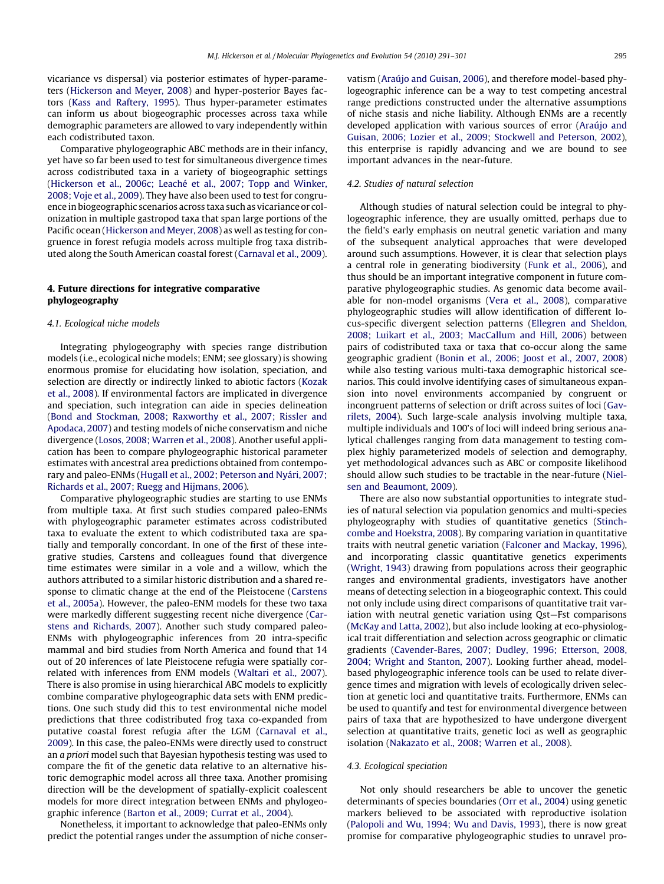vicariance vs dispersal) via posterior estimates of hyper-parameters ([Hickerson and Meyer, 2008\)](#page-8-0) and hyper-posterior Bayes factors ([Kass and Raftery, 1995\)](#page-8-0). Thus hyper-parameter estimates can inform us about biogeographic processes across taxa while demographic parameters are allowed to vary independently within each codistributed taxon.

Comparative phylogeographic ABC methods are in their infancy, yet have so far been used to test for simultaneous divergence times across codistributed taxa in a variety of biogeographic settings ([Hickerson et al., 2006c; Leaché et al., 2007; Topp and Winker,](#page-8-0) [2008; Voje et al., 2009\)](#page-8-0). They have also been used to test for congruence in biogeographic scenarios across taxa such as vicariance or colonization in multiple gastropod taxa that span large portions of the Pacific ocean ([Hickerson and Meyer, 2008](#page-8-0)) as well as testing for congruence in forest refugia models across multiple frog taxa distributed along the South American coastal forest ([Carnaval et al., 2009\)](#page-7-0).

# 4. Future directions for integrative comparative phylogeography

#### 4.1. Ecological niche models

Integrating phylogeography with species range distribution models (i.e., ecological niche models; ENM; see glossary) is showing enormous promise for elucidating how isolation, speciation, and selection are directly or indirectly linked to abiotic factors ([Kozak](#page-8-0) [et al., 2008](#page-8-0)). If environmental factors are implicated in divergence and speciation, such integration can aide in species delineation ([Bond and Stockman, 2008; Raxworthy et al., 2007; Rissler and](#page-6-0) [Apodaca, 2007](#page-6-0)) and testing models of niche conservatism and niche divergence ([Losos, 2008; Warren et al., 2008](#page-8-0)). Another useful application has been to compare phylogeographic historical parameter estimates with ancestral area predictions obtained from contemporary and paleo-ENMs ([Hugall et al., 2002; Peterson and Nyári, 2007;](#page-8-0) [Richards et al., 2007; Ruegg and Hijmans, 2006](#page-8-0)).

Comparative phylogeographic studies are starting to use ENMs from multiple taxa. At first such studies compared paleo-ENMs with phylogeographic parameter estimates across codistributed taxa to evaluate the extent to which codistributed taxa are spatially and temporally concordant. In one of the first of these integrative studies, Carstens and colleagues found that divergence time estimates were similar in a vole and a willow, which the authors attributed to a similar historic distribution and a shared response to climatic change at the end of the Pleistocene [\(Carstens](#page-7-0) [et al., 2005a\)](#page-7-0). However, the paleo-ENM models for these two taxa were markedly different suggesting recent niche divergence ([Car](#page-7-0)[stens and Richards, 2007](#page-7-0)). Another such study compared paleo-ENMs with phylogeographic inferences from 20 intra-specific mammal and bird studies from North America and found that 14 out of 20 inferences of late Pleistocene refugia were spatially correlated with inferences from ENM models [\(Waltari et al., 2007\)](#page-10-0). There is also promise in using hierarchical ABC models to explicitly combine comparative phylogeographic data sets with ENM predictions. One such study did this to test environmental niche model predictions that three codistributed frog taxa co-expanded from putative coastal forest refugia after the LGM [\(Carnaval et al.,](#page-7-0) [2009](#page-7-0)). In this case, the paleo-ENMs were directly used to construct an a priori model such that Bayesian hypothesis testing was used to compare the fit of the genetic data relative to an alternative historic demographic model across all three taxa. Another promising direction will be the development of spatially-explicit coalescent models for more direct integration between ENMs and phylogeographic inference [\(Barton et al., 2009; Currat et al., 2004](#page-6-0)).

Nonetheless, it important to acknowledge that paleo-ENMs only predict the potential ranges under the assumption of niche conservatism [\(Araújo and Guisan, 2006](#page-6-0)), and therefore model-based phylogeographic inference can be a way to test competing ancestral range predictions constructed under the alternative assumptions of niche stasis and niche liability. Although ENMs are a recently developed application with various sources of error ([Araújo and](#page-6-0) [Guisan, 2006; Lozier et al., 2009; Stockwell and Peterson, 2002\)](#page-6-0), this enterprise is rapidly advancing and we are bound to see important advances in the near-future.

## 4.2. Studies of natural selection

Although studies of natural selection could be integral to phylogeographic inference, they are usually omitted, perhaps due to the field's early emphasis on neutral genetic variation and many of the subsequent analytical approaches that were developed around such assumptions. However, it is clear that selection plays a central role in generating biodiversity ([Funk et al., 2006](#page-7-0)), and thus should be an important integrative component in future comparative phylogeographic studies. As genomic data become available for non-model organisms [\(Vera et al., 2008](#page-9-0)), comparative phylogeographic studies will allow identification of different locus-specific divergent selection patterns ([Ellegren and Sheldon,](#page-7-0) [2008; Luikart et al., 2003; MacCallum and Hill, 2006\)](#page-7-0) between pairs of codistributed taxa or taxa that co-occur along the same geographic gradient [\(Bonin et al., 2006; Joost et al., 2007, 2008\)](#page-6-0) while also testing various multi-taxa demographic historical scenarios. This could involve identifying cases of simultaneous expansion into novel environments accompanied by congruent or incongruent patterns of selection or drift across suites of loci ([Gav](#page-7-0)[rilets, 2004](#page-7-0)). Such large-scale analysis involving multiple taxa, multiple individuals and 100's of loci will indeed bring serious analytical challenges ranging from data management to testing complex highly parameterized models of selection and demography, yet methodological advances such as ABC or composite likelihood should allow such studies to be tractable in the near-future [\(Niel](#page-8-0)[sen and Beaumont, 2009\)](#page-8-0).

There are also now substantial opportunities to integrate studies of natural selection via population genomics and multi-species phylogeography with studies of quantitative genetics ([Stinch](#page-9-0)[combe and Hoekstra, 2008](#page-9-0)). By comparing variation in quantitative traits with neutral genetic variation ([Falconer and Mackay, 1996\)](#page-7-0), and incorporating classic quantitative genetics experiments ([Wright, 1943](#page-10-0)) drawing from populations across their geographic ranges and environmental gradients, investigators have another means of detecting selection in a biogeographic context. This could not only include using direct comparisons of quantitative trait variation with neutral genetic variation using Qst—Fst comparisons ([McKay and Latta, 2002](#page-8-0)), but also include looking at eco-physiological trait differentiation and selection across geographic or climatic gradients ([Cavender-Bares, 2007; Dudley, 1996; Etterson, 2008,](#page-7-0) [2004; Wright and Stanton, 2007\)](#page-7-0). Looking further ahead, modelbased phylogeographic inference tools can be used to relate divergence times and migration with levels of ecologically driven selection at genetic loci and quantitative traits. Furthermore, ENMs can be used to quantify and test for environmental divergence between pairs of taxa that are hypothesized to have undergone divergent selection at quantitative traits, genetic loci as well as geographic isolation ([Nakazato et al., 2008; Warren et al., 2008](#page-8-0)).

#### 4.3. Ecological speciation

Not only should researchers be able to uncover the genetic determinants of species boundaries ([Orr et al., 2004](#page-9-0)) using genetic markers believed to be associated with reproductive isolation ([Palopoli and Wu, 1994; Wu and Davis, 1993\)](#page-9-0), there is now great promise for comparative phylogeographic studies to unravel pro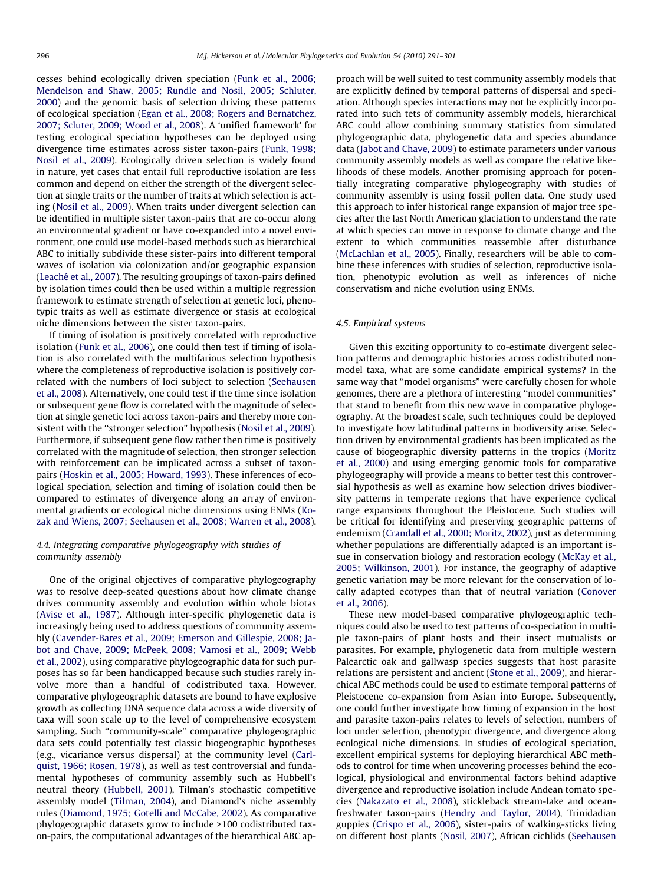cesses behind ecologically driven speciation [\(Funk et al., 2006;](#page-7-0) [Mendelson and Shaw, 2005; Rundle and Nosil, 2005; Schluter,](#page-7-0) [2000\)](#page-7-0) and the genomic basis of selection driving these patterns of ecological speciation ([Egan et al., 2008; Rogers and Bernatchez,](#page-7-0) [2007; Scluter, 2009; Wood et al., 2008\)](#page-7-0). A 'unified framework' for testing ecological speciation hypotheses can be deployed using divergence time estimates across sister taxon-pairs ([Funk, 1998;](#page-7-0) [Nosil et al., 2009](#page-7-0)). Ecologically driven selection is widely found in nature, yet cases that entail full reproductive isolation are less common and depend on either the strength of the divergent selection at single traits or the number of traits at which selection is acting [\(Nosil et al., 2009\)](#page-9-0). When traits under divergent selection can be identified in multiple sister taxon-pairs that are co-occur along an environmental gradient or have co-expanded into a novel environment, one could use model-based methods such as hierarchical ABC to initially subdivide these sister-pairs into different temporal waves of isolation via colonization and/or geographic expansion ([Leaché et al., 2007\)](#page-8-0). The resulting groupings of taxon-pairs defined by isolation times could then be used within a multiple regression framework to estimate strength of selection at genetic loci, phenotypic traits as well as estimate divergence or stasis at ecological niche dimensions between the sister taxon-pairs.

If timing of isolation is positively correlated with reproductive isolation ([Funk et al., 2006](#page-7-0)), one could then test if timing of isolation is also correlated with the multifarious selection hypothesis where the completeness of reproductive isolation is positively correlated with the numbers of loci subject to selection [\(Seehausen](#page-9-0) [et al., 2008\)](#page-9-0). Alternatively, one could test if the time since isolation or subsequent gene flow is correlated with the magnitude of selection at single genetic loci across taxon-pairs and thereby more consistent with the ''stronger selection" hypothesis ([Nosil et al., 2009\)](#page-9-0). Furthermore, if subsequent gene flow rather then time is positively correlated with the magnitude of selection, then stronger selection with reinforcement can be implicated across a subset of taxonpairs ([Hoskin et al., 2005; Howard, 1993\)](#page-8-0). These inferences of ecological speciation, selection and timing of isolation could then be compared to estimates of divergence along an array of environmental gradients or ecological niche dimensions using ENMs ([Ko](#page-8-0)[zak and Wiens, 2007; Seehausen et al., 2008; Warren et al., 2008\)](#page-8-0).

# 4.4. Integrating comparative phylogeography with studies of community assembly

One of the original objectives of comparative phylogeography was to resolve deep-seated questions about how climate change drives community assembly and evolution within whole biotas ([Avise et al., 1987](#page-6-0)). Although inter-specific phylogenetic data is increasingly being used to address questions of community assembly [\(Cavender-Bares et al., 2009; Emerson and Gillespie, 2008; Ja](#page-7-0)[bot and Chave, 2009; McPeek, 2008; Vamosi et al., 2009; Webb](#page-7-0) [et al., 2002\)](#page-7-0), using comparative phylogeographic data for such purposes has so far been handicapped because such studies rarely involve more than a handful of codistributed taxa. However, comparative phylogeographic datasets are bound to have explosive growth as collecting DNA sequence data across a wide diversity of taxa will soon scale up to the level of comprehensive ecosystem sampling. Such ''community-scale" comparative phylogeographic data sets could potentially test classic biogeographic hypotheses (e.g., vicariance versus dispersal) at the community level [\(Carl](#page-7-0)[quist, 1966; Rosen, 1978\)](#page-7-0), as well as test controversial and fundamental hypotheses of community assembly such as Hubbell's neutral theory [\(Hubbell, 2001](#page-8-0)), Tilman's stochastic competitive assembly model ([Tilman, 2004](#page-9-0)), and Diamond's niche assembly rules ([Diamond, 1975; Gotelli and McCabe, 2002\)](#page-7-0). As comparative phylogeographic datasets grow to include >100 codistributed taxon-pairs, the computational advantages of the hierarchical ABC approach will be well suited to test community assembly models that are explicitly defined by temporal patterns of dispersal and speciation. Although species interactions may not be explicitly incorporated into such tets of community assembly models, hierarchical ABC could allow combining summary statistics from simulated phylogeographic data, phylogenetic data and species abundance data [\(Jabot and Chave, 2009](#page-8-0)) to estimate parameters under various community assembly models as well as compare the relative likelihoods of these models. Another promising approach for potentially integrating comparative phylogeography with studies of community assembly is using fossil pollen data. One study used this approach to infer historical range expansion of major tree species after the last North American glaciation to understand the rate at which species can move in response to climate change and the extent to which communities reassemble after disturbance ([McLachlan et al., 2005\)](#page-8-0). Finally, researchers will be able to combine these inferences with studies of selection, reproductive isolation, phenotypic evolution as well as inferences of niche conservatism and niche evolution using ENMs.

### 4.5. Empirical systems

Given this exciting opportunity to co-estimate divergent selection patterns and demographic histories across codistributed nonmodel taxa, what are some candidate empirical systems? In the same way that ''model organisms" were carefully chosen for whole genomes, there are a plethora of interesting ''model communities" that stand to benefit from this new wave in comparative phylogeography. At the broadest scale, such techniques could be deployed to investigate how latitudinal patterns in biodiversity arise. Selection driven by environmental gradients has been implicated as the cause of biogeographic diversity patterns in the tropics ([Moritz](#page-8-0) [et al., 2000\)](#page-8-0) and using emerging genomic tools for comparative phylogeography will provide a means to better test this controversial hypothesis as well as examine how selection drives biodiversity patterns in temperate regions that have experience cyclical range expansions throughout the Pleistocene. Such studies will be critical for identifying and preserving geographic patterns of endemism [\(Crandall et al., 2000; Moritz, 2002](#page-7-0)), just as determining whether populations are differentially adapted is an important issue in conservation biology and restoration ecology [\(McKay et al.,](#page-8-0) [2005; Wilkinson, 2001\)](#page-8-0). For instance, the geography of adaptive genetic variation may be more relevant for the conservation of locally adapted ecotypes than that of neutral variation ([Conover](#page-7-0) [et al., 2006\)](#page-7-0).

These new model-based comparative phylogeographic techniques could also be used to test patterns of co-speciation in multiple taxon-pairs of plant hosts and their insect mutualists or parasites. For example, phylogenetic data from multiple western Palearctic oak and gallwasp species suggests that host parasite relations are persistent and ancient ([Stone et al., 2009\)](#page-9-0), and hierarchical ABC methods could be used to estimate temporal patterns of Pleistocene co-expansion from Asian into Europe. Subsequently, one could further investigate how timing of expansion in the host and parasite taxon-pairs relates to levels of selection, numbers of loci under selection, phenotypic divergence, and divergence along ecological niche dimensions. In studies of ecological speciation, excellent empirical systems for deploying hierarchical ABC methods to control for time when uncovering processes behind the ecological, physiological and environmental factors behind adaptive divergence and reproductive isolation include Andean tomato species ([Nakazato et al., 2008](#page-8-0)), stickleback stream-lake and oceanfreshwater taxon-pairs [\(Hendry and Taylor, 2004\)](#page-7-0), Trinidadian guppies ([Crispo et al., 2006\)](#page-7-0), sister-pairs of walking-sticks living on different host plants ([Nosil, 2007\)](#page-9-0), African cichlids [\(Seehausen](#page-9-0)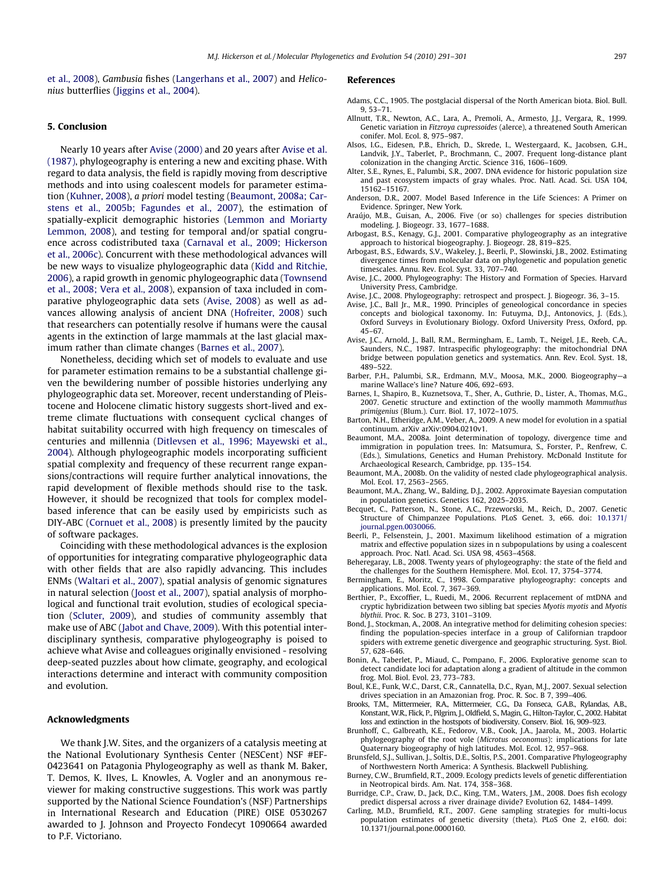<span id="page-6-0"></span>[et al., 2008\)](#page-9-0), Gambusia fishes ([Langerhans et al., 2007\)](#page-8-0) and Heliconius butterflies ([Jiggins et al., 2004](#page-8-0)).

## 5. Conclusion

Nearly 10 years after Avise (2000) and 20 years after Avise et al. (1987), phylogeography is entering a new and exciting phase. With regard to data analysis, the field is rapidly moving from descriptive methods and into using coalescent models for parameter estimation ([Kuhner, 2008\)](#page-8-0), a priori model testing (Beaumont, 2008a; Carstens et al., 2005b; Fagundes et al., 2007), the estimation of spatially-explicit demographic histories [\(Lemmon and Moriarty](#page-8-0) [Lemmon, 2008\)](#page-8-0), and testing for temporal and/or spatial congruence across codistributed taxa ([Carnaval et al., 2009; Hickerson](#page-7-0) [et al., 2006c\)](#page-7-0). Concurrent with these methodological advances will be new ways to visualize phylogeographic data ([Kidd and Ritchie,](#page-8-0) [2006](#page-8-0)), a rapid growth in genomic phylogeographic data ([Townsend](#page-9-0) [et al., 2008; Vera et al., 2008\)](#page-9-0), expansion of taxa included in comparative phylogeographic data sets (Avise, 2008) as well as advances allowing analysis of ancient DNA [\(Hofreiter, 2008](#page-8-0)) such that researchers can potentially resolve if humans were the causal agents in the extinction of large mammals at the last glacial maximum rather than climate changes (Barnes et al., 2007).

Nonetheless, deciding which set of models to evaluate and use for parameter estimation remains to be a substantial challenge given the bewildering number of possible histories underlying any phylogeographic data set. Moreover, recent understanding of Pleistocene and Holocene climatic history suggests short-lived and extreme climate fluctuations with consequent cyclical changes of habitat suitability occurred with high frequency on timescales of centuries and millennia ([Ditlevsen et al., 1996; Mayewski et al.,](#page-7-0) [2004](#page-7-0)). Although phylogeographic models incorporating sufficient spatial complexity and frequency of these recurrent range expansions/contractions will require further analytical innovations, the rapid development of flexible methods should rise to the task. However, it should be recognized that tools for complex modelbased inference that can be easily used by empiricists such as DIY-ABC [\(Cornuet et al., 2008\)](#page-7-0) is presently limited by the paucity of software packages.

Coinciding with these methodological advances is the explosion of opportunities for integrating comparative phylogeographic data with other fields that are also rapidly advancing. This includes ENMs [\(Waltari et al., 2007\)](#page-10-0), spatial analysis of genomic signatures in natural selection ([Joost et al., 2007](#page-8-0)), spatial analysis of morphological and functional trait evolution, studies of ecological speciation [\(Scluter, 2009](#page-9-0)), and studies of community assembly that make use of ABC ([Jabot and Chave, 2009](#page-8-0)). With this potential interdisciplinary synthesis, comparative phylogeography is poised to achieve what Avise and colleagues originally envisioned - resolving deep-seated puzzles about how climate, geography, and ecological interactions determine and interact with community composition and evolution.

### Acknowledgments

We thank J.W. Sites, and the organizers of a catalysis meeting at the National Evolutionary Synthesis Center (NESCent) NSF #EF-0423641 on Patagonia Phylogeography as well as thank M. Baker, T. Demos, K. Ilves, L. Knowles, A. Vogler and an anonymous reviewer for making constructive suggestions. This work was partly supported by the National Science Foundation's (NSF) Partnerships in International Research and Education (PIRE) OISE 0530267 awarded to J. Johnson and Proyecto Fondecyt 1090664 awarded to P.F. Victoriano.

## References

- Adams, C.C., 1905. The postglacial dispersal of the North American biota. Biol. Bull. 9, 53–71.
- Allnutt, T.R., Newton, A.C., Lara, A., Premoli, A., Armesto, J.J., Vergara, R., 1999. Genetic variation in Fitzroya cupressoides (alerce), a threatened South American conifer. Mol. Ecol. 8, 975–987.
- Alsos, I.G., Eidesen, P.B., Ehrich, D., Skrede, I., Westergaard, K., Jacobsen, G.H., Landvik, J.Y., Taberlet, P., Brochmann, C., 2007. Frequent long-distance plant colonization in the changing Arctic. Science 316, 1606–1609.
- Alter, S.E., Rynes, E., Palumbi, S.R., 2007. DNA evidence for historic population size and past ecosystem impacts of gray whales. Proc. Natl. Acad. Sci. USA 104, 15162–15167.
- Anderson, D.R., 2007. Model Based Inference in the Life Sciences: A Primer on Evidence. Springer, New York.
- Araújo, M.B., Guisan, A., 2006. Five (or so) challenges for species distribution modeling. J. Biogeogr. 33, 1677–1688.
- Arbogast, B.S., Kenagy, G.J., 2001. Comparative phylogeography as an integrative approach to historical biogeography. J. Biogeogr. 28, 819–825.
- Arbogast, B.S., Edwards, S.V., Wakeley, J., Beerli, P., Slowinski, J.B., 2002. Estimating divergence times from molecular data on phylogenetic and population genetic timescales. Annu. Rev. Ecol. Syst. 33, 707–740.
- Avise, J.C., 2000. Phylogeography: The History and Formation of Species. Harvard University Press, Cambridge.
- Avise, J.C., 2008. Phylogeography: retrospect and prospect. J. Biogeogr. 36, 3–15.
- Avise, J.C., Ball Jr., M.R., 1990. Principles of geneological concordance in species concepts and biological taxonomy. In: Futuyma, D.J., Antonovics, J. (Eds.), Oxford Surveys in Evolutionary Biology. Oxford University Press, Oxford, pp. 45–67.
- Avise, J.C., Arnold, J., Ball, R.M., Bermingham, E., Lamb, T., Neigel, J.E., Reeb, C.A., Saunders, N.C., 1987. Intraspecific phylogeography: the mitochondrial DNA bridge between population genetics and systematics. Ann. Rev. Ecol. Syst. 18, 489–522.
- Barber, P.H., Palumbi, S.R., Erdmann, M.V., Moosa, M.K., 2000. Biogeography—a marine Wallace's line? Nature 406, 692–693.
- Barnes, I., Shapiro, B., Kuznetsova, T., Sher, A., Guthrie, D., Lister, A., Thomas, M.G., 2007. Genetic structure and extinction of the woolly mammoth Mammuthus primigenius (Blum.). Curr. Biol. 17, 1072–1075.
- Barton, N.H., Etheridge, A.M., Veber, A., 2009. A new model for evolution in a spatial continuum. arXiv arXiv:0904.0210v1.
- Beaumont, M.A., 2008a. Joint determination of topology, divergence time and immigration in population trees. In: Matsumura, S., Forster, P., Renfrew, C. (Eds.), Simulations, Genetics and Human Prehistory. McDonald Institute for Archaeological Research, Cambridge, pp. 135–154.
- Beaumont, M.A., 2008b. On the validity of nested clade phylogeographical analysis. Mol. Ecol. 17, 2563–2565.
- Beaumont, M.A., Zhang, W., Balding, D.J., 2002. Approximate Bayesian computation in population genetics. Genetics 162, 2025–2035.
- Becquet, C., Patterson, N., Stone, A.C., Przeworski, M., Reich, D., 2007. Genetic Structure of Chimpanzee Populations. PLoS Genet. 3, e66. doi: [10.1371/](http://dx.doi.org/10.1371/journal.pgen.0030066) [journal.pgen.0030066](http://dx.doi.org/10.1371/journal.pgen.0030066).
- Beerli, P., Felsenstein, J., 2001. Maximum likelihood estimation of a migration matrix and effective population sizes in n subpopulations by using a coalescent approach. Proc. Natl. Acad. Sci. USA 98, 4563–4568.
- Beheregaray, L.B., 2008. Twenty years of phylogeography: the state of the field and the challenges for the Southern Hemisphere. Mol. Ecol. 17, 3754–3774.
- Bermingham, E., Moritz, C., 1998. Comparative phylogeography: concepts and applications. Mol. Ecol. 7, 367–369.
- Berthier, P., Excoffier, L., Ruedi, M., 2006. Recurrent replacement of mtDNA and cryptic hybridization between two sibling bat species Myotis myotis and Myotis blythii. Proc. R. Soc. B 273, 3101–3109.
- Bond, J., Stockman, A., 2008. An integrative method for delimiting cohesion species: finding the population-species interface in a group of Californian trapdoor spiders with extreme genetic divergence and geographic structuring. Syst. Biol. 57, 628–646.
- Bonin, A., Taberlet, P., Miaud, C., Pompano, F., 2006. Explorative genome scan to detect candidate loci for adaptation along a gradient of altitude in the common frog. Mol. Biol. Evol. 23, 773–783.
- Boul, K.E., Funk, W.C., Darst, C.R., Cannatella, D.C., Ryan, M.J., 2007. Sexual selection drives speciation in an Amazonian frog. Proc. R. Soc. B 7, 399–406.
- Brooks, T.M., Mittermeier, R.A., Mittermeier, C.G., Da Fonseca, G.A.B., Rylandas, A.B., Konstant, W.R., Flick, P., Pilgrim, J., Oldfield, S., Magin, G., Hilton-Taylor, C., 2002. Habitat loss and extinction in the hostspots of biodiversity. Conserv. Biol. 16, 909–923.
- Brunhoff, C., Galbreath, K.E., Fedorov, V.B., Cook, J.A., Jaarola, M., 2003. Holartic phylogeography of the root vole (Microtus oeconomus): implications for late Quaternary biogeography of high latitudes. Mol. Ecol. 12, 957–968.
- Brunsfeld, S.J., Sullivan, J., Soltis, D.E., Soltis, P.S., 2001. Comparative Phylogeography of Northwestern North America: A Synthesis. Blackwell Publishing.
- Burney, C.W., Brumfield, R.T., 2009. Ecology predicts levels of genetic differentiation in Neotropical birds. Am. Nat. 174, 358–368.
- Burridge, C.P., Craw, D., Jack, D.C., King, T.M., Waters, J.M., 2008. Does fish ecology predict dispersal across a river drainage divide? Evolution 62, 1484–1499.
- Carling, M.D., Brumfield, R.T., 2007. Gene sampling strategies for multi-locus population estimates of genetic diversity (theta). PLoS One 2, e160. doi: 10.1371/journal.pone.0000160.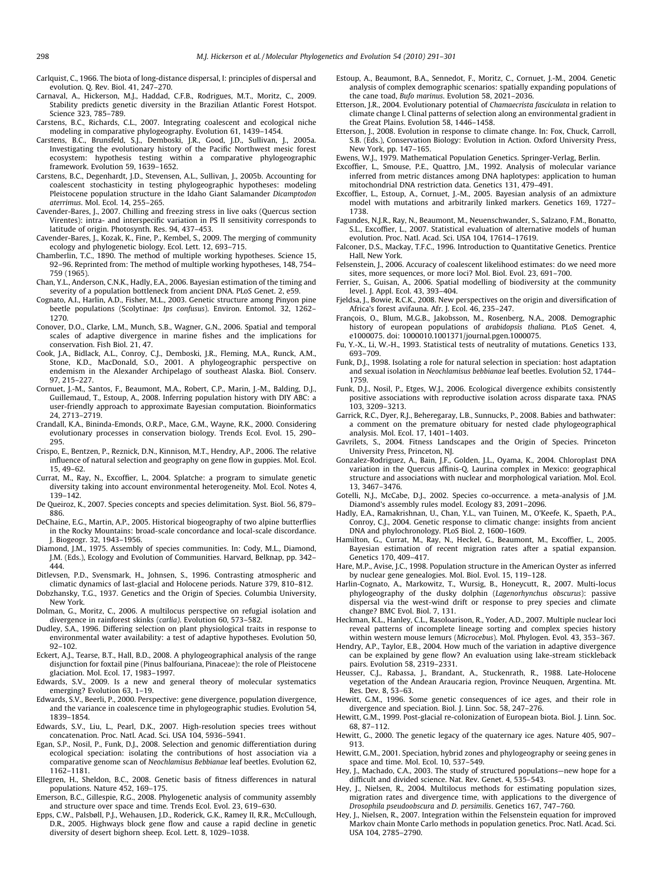<span id="page-7-0"></span>Carlquist, C., 1966. The biota of long-distance dispersal, I: principles of dispersal and evolution. Q. Rev. Biol. 41, 247–270.

Carnaval, A., Hickerson, M.J., Haddad, C.F.B., Rodrigues, M.T., Moritz, C., 2009. Stability predicts genetic diversity in the Brazilian Atlantic Forest Hotspot. Science 323, 785–789.

- Carstens, B.C., Richards, C.L., 2007. Integrating coalescent and ecological niche modeling in comparative phylogeography. Evolution 61, 1439–1454.
- Carstens, B.C., Brunsfeld, S.J., Demboski, J.R., Good, J.D., Sullivan, J., 2005a. Investigating the evolutionary history of the Pacific Northwest mesic forest ecosystem: hypothesis testing within a comparative phylogeographic framework. Evolution 59, 1639–1652.
- Carstens, B.C., Degenhardt, J.D., Stevensen, A.L., Sullivan, J., 2005b. Accounting for coalescent stochasticity in testing phylogeographic hypotheses: modeling Pleistocene population structure in the Idaho Giant Salamander Dicamptodon aterrimus. Mol. Ecol. 14, 255–265.
- Cavender-Bares, J., 2007. Chilling and freezing stress in live oaks (Quercus section Virentes): intra- and interspecific variation in PS II sensitivity corresponds to latitude of origin. Photosynth. Res. 94, 437–453.
- Cavender-Bares, J., Kozak, K., Fine, P., Kembel, S., 2009. The merging of community ecology and phylogenetic biology. Ecol. Lett. 12, 693–715.
- Chamberlin, T.C., 1890. The method of multiple working hypotheses. Science 15, 92–96. Reprinted from: The method of multiple working hypotheses, 148, 754– 759 (1965).
- Chan, Y.L., Anderson, C.N.K., Hadly, E.A., 2006. Bayesian estimation of the timing and severity of a population bottleneck from ancient DNA. PLoS Genet. 2, e59.
- Cognato, A.I., Harlin, A.D., Fisher, M.L., 2003. Genetic structure among Pinyon pine beetle populations (Scolytinae: Ips confusus). Environ. Entomol. 32, 1262– 1270.
- Conover, D.O., Clarke, L.M., Munch, S.B., Wagner, G.N., 2006. Spatial and temporal scales of adaptive divergence in marine fishes and the implications for conservation. Fish Biol. 21, 47.
- Cook, J.A., Bidlack, A.L., Conroy, C.J., Demboski, J.R., Fleming, M.A., Runck, A.M., Stone, K.D., MacDonald, S.O., 2001. A phylogeographic perspective on endemism in the Alexander Archipelago of southeast Alaska. Biol. Conserv. 97, 215–227.
- Cornuet, J.-M., Santos, F., Beaumont, M.A., Robert, C.P., Marin, J.-M., Balding, D.J., Guillemaud, T., Estoup, A., 2008. Inferring population history with DIY ABC: a user-friendly approach to approximate Bayesian computation. Bioinformatics 24, 2713–2719.
- Crandall, K.A., Bininda-Emonds, O.R.P., Mace, G.M., Wayne, R.K., 2000. Considering evolutionary processes in conservation biology. Trends Ecol. Evol. 15, 290– 295.
- Crispo, E., Bentzen, P., Reznick, D.N., Kinnison, M.T., Hendry, A.P., 2006. The relative influence of natural selection and geography on gene flow in guppies. Mol. Ecol. 15, 49–62.
- Currat, M., Ray, N., Excoffier, L., 2004. Splatche: a program to simulate genetic diversity taking into account environmental heterogeneity. Mol. Ecol. Notes 4, 139–142.
- De Queiroz, K., 2007. Species concepts and species delimitation. Syst. Biol. 56, 879– 886.
- DeChaine, E.G., Martin, A.P., 2005. Historical biogeography of two alpine butterflies in the Rocky Mountains: broad-scale concordance and local-scale discordance. J. Biogeogr. 32, 1943–1956.
- Diamond, J.M., 1975. Assembly of species communities. In: Cody, M.L., Diamond, J.M. (Eds.), Ecology and Evolution of Communities. Harvard, Belknap, pp. 342– 444.
- Ditlevsen, P.D., Svensmark, H., Johnsen, S., 1996. Contrasting atmospheric and climatic dynamics of last-glacial and Holocene periods. Nature 379, 810–812.
- Dobzhansky, T.G., 1937. Genetics and the Origin of Species. Columbia University, New York.
- Dolman, G., Moritz, C., 2006. A multilocus perspective on refugial isolation and divergence in rainforest skinks (carlia). Evolution 60, 573–582.
- Dudley, S.A., 1996. Differing selection on plant physiological traits in response to environmental water availability: a test of adaptive hypotheses. Evolution 50, 92–102.
- Eckert, A.J., Tearse, B.T., Hall, B.D., 2008. A phylogeographical analysis of the range disjunction for foxtail pine (Pinus balfouriana, Pinaceae): the role of Pleistocene glaciation. Mol. Ecol. 17, 1983–1997.
- Edwards, S.V., 2009. Is a new and general theory of molecular systematics emerging? Evolution 63, 1–19.
- Edwards, S.V., Beerli, P., 2000. Perspective: gene divergence, population divergence, and the variance in coalescence time in phylogeographic studies. Evolution 54, 1839–1854.
- Edwards, S.V., Liu, L., Pearl, D.K., 2007. High-resolution species trees without concatenation. Proc. Natl. Acad. Sci. USA 104, 5936–5941.
- Egan, S.P., Nosil, P., Funk, D.J., 2008. Selection and genomic differentiation during ecological speciation: isolating the contributions of host association via a comparative genome scan of Neochlamisus Bebbianae leaf beetles. Evolution 62, 1162–1181.
- Ellegren, H., Sheldon, B.C., 2008. Genetic basis of fitness differences in natural populations. Nature 452, 169–175.
- Emerson, B.C., Gillespie, R.G., 2008. Phylogenetic analysis of community assembly and structure over space and time. Trends Ecol. Evol. 23, 619–630.
- Epps, C.W., Palsbøll, P.J., Wehausen, J.D., Roderick, G.K., Ramey II, R.R., McCullough, D.R., 2005. Highways block gene flow and cause a rapid decline in genetic diversity of desert bighorn sheep. Ecol. Lett. 8, 1029–1038.
- Estoup, A., Beaumont, B.A., Sennedot, F., Moritz, C., Cornuet, J.-M., 2004. Genetic analysis of complex demographic scenarios: spatially expanding populations of the cane toad, Bufo marinus. Evolution 58, 2021–2036.
- Etterson, J.R., 2004. Evolutionary potential of Chamaecrista fasciculata in relation to climate change I. Clinal patterns of selection along an environmental gradient in the Great Plains. Evolution 58, 1446–1458.
- Etterson, J., 2008. Evolution in response to climate change. In: Fox, Chuck, Carroll, S.B. (Eds.), Conservation Biology: Evolution in Action. Oxford University Press, New York, pp. 147–165.
- Ewens, W.J., 1979. Mathematical Population Genetics. Springer-Verlag, Berlin.
- Excoffier, L., Smouse, P.E., Quattro, J.M., 1992. Analysis of molecular variance inferred from metric distances among DNA haplotypes: application to human mitochondrial DNA restriction data. Genetics 131, 479–491.
- Excoffier, L., Estoup, A., Cornuet, J.-M., 2005. Bayesian analysis of an admixture model with mutations and arbitrarily linked markers. Genetics 169, 1727– 1738.
- Fagundes, N.J.R., Ray, N., Beaumont, M., Neuenschwander, S., Salzano, F.M., Bonatto, S.L., Excoffier, L., 2007. Statistical evaluation of alternative models of human evolution. Proc. Natl. Acad. Sci. USA 104, 17614–17619.
- Falconer, D.S., Mackay, T.F.C., 1996. Introduction to Quantitative Genetics. Prentice Hall, New York.
- Felsenstein, J., 2006. Accuracy of coalescent likelihood estimates: do we need more sites, more sequences, or more loci? Mol. Biol. Evol. 23, 691–700.
- Ferrier, S., Guisan, A., 2006. Spatial modelling of biodiversity at the community level. J. Appl. Ecol. 43, 393–404.
- Fjeldsa, J., Bowie, R.C.K., 2008. New perspectives on the origin and diversification of Africa's forest avifauna. Afr. J. Ecol. 46, 235–247.
- François, O., Blum, M.G.B., Jakobsson, M., Rosenberg, N.A., 2008. Demographic history of european populations of arabidopsis thaliana. PLoS Genet. 4, e1000075. doi: 1000010.1001371/journal.pgen.1000075.
- Fu, Y.-X., Li, W.-H., 1993. Statistical tests of neutrality of mutations. Genetics 133, 693–709.
- Funk, D.J., 1998. Isolating a role for natural selection in speciation: host adaptation and sexual isolation in Neochlamisus bebbianae leaf beetles. Evolution 52, 1744– 1759.
- Funk, D.J., Nosil, P., Etges, W.J., 2006. Ecological divergence exhibits consistently positive associations with reproductive isolation across disparate taxa. PNAS 103, 3209–3213.
- Garrick, R.C., Dyer, R.J., Beheregaray, L.B., Sunnucks, P., 2008. Babies and bathwater: a comment on the premature obituary for nested clade phylogeographical analysis. Mol. Ecol. 17, 1401–1403.
- Gavrilets, S., 2004. Fitness Landscapes and the Origin of Species. Princeton University Press, Princeton, NJ.
- Gonzalez-Rodriguez, A., Bain, J.F., Golden, J.L., Oyama, K., 2004. Chloroplast DNA variation in the Quercus affinis-Q. Laurina complex in Mexico: geographical structure and associations with nuclear and morphological variation. Mol. Ecol. 13, 3467–3476.
- Gotelli, N.J., McCabe, D.J., 2002. Species co-occurrence. a meta-analysis of J.M. Diamond's assembly rules model. Ecology 83, 2091–2096.
- Hadly, E.A., Ramakrishnan, U., Chan, Y.L., van Tuinen, M., O'Keefe, K., Spaeth, P.A., Conroy, C.J., 2004. Genetic response to climatic change: insights from ancient DNA and phylochronology. PLoS Biol. 2, 1600–1609.
- Hamilton, G., Currat, M., Ray, N., Heckel, G., Beaumont, M., Excoffier, L., 2005. Bayesian estimation of recent migration rates after a spatial expansion. Genetics 170, 409–417.
- Hare, M.P., Avise, J.C., 1998. Population structure in the American Oyster as inferred by nuclear gene genealogies. Mol. Biol. Evol. 15, 119–128.
- Harlin-Cognato, A., Markowitz, T., Wursig, B., Honeycutt, R., 2007. Multi-locus phylogeography of the dusky dolphin (Lagenorhynchus obscurus): passive dispersal via the west-wind drift or response to prey species and climate change? BMC Evol. Biol. 7, 131.
- Heckman, K.L., Hanley, C.L., Rasoloarison, R., Yoder, A.D., 2007. Multiple nuclear loci reveal patterns of incomplete lineage sorting and complex species history within western mouse lemurs (Microcebus). Mol. Phylogen. Evol. 43, 353–367.
- Hendry, A.P., Taylor, E.B., 2004. How much of the variation in adaptive divergence can be explained by gene flow? An evaluation using lake-stream stickleback pairs. Evolution 58, 2319–2331.
- Heusser, C.J., Rabassa, J., Brandant, A., Stuckenrath, R., 1988. Late-Holocene vegetation of the Andean Araucaria region, Province Neuquen, Argentina. Mt. Res. Dev. 8, 53–63.
- Hewitt, G.M., 1996. Some genetic consequences of ice ages, and their role in divergence and speciation. Biol. J. Linn. Soc. 58, 247–276.
- Hewitt, G.M., 1999. Post-glacial re-colonization of European biota. Biol. J. Linn. Soc. 68, 87–112.
- Hewitt, G., 2000. The genetic legacy of the quaternary ice ages. Nature 405, 907– 913.
- Hewitt, G.M., 2001. Speciation, hybrid zones and phylogeography or seeing genes in space and time. Mol. Ecol. 10, 537–549.
- Hey, J., Machado, C.A., 2003. The study of structured populations—new hope for a difficult and divided science. Nat. Rev. Genet. 4, 535–543.
- Hey, J., Nielsen, R., 2004. Multilocus methods for estimating population sizes migration rates and divergence time, with applications to the divergence of Drosophila pseudoobscura and D. persimilis. Genetics 167, 747–760.
- Hey, J., Nielsen, R., 2007. Integration within the Felsenstein equation for improved Markov chain Monte Carlo methods in population genetics. Proc. Natl. Acad. Sci. USA 104, 2785–2790.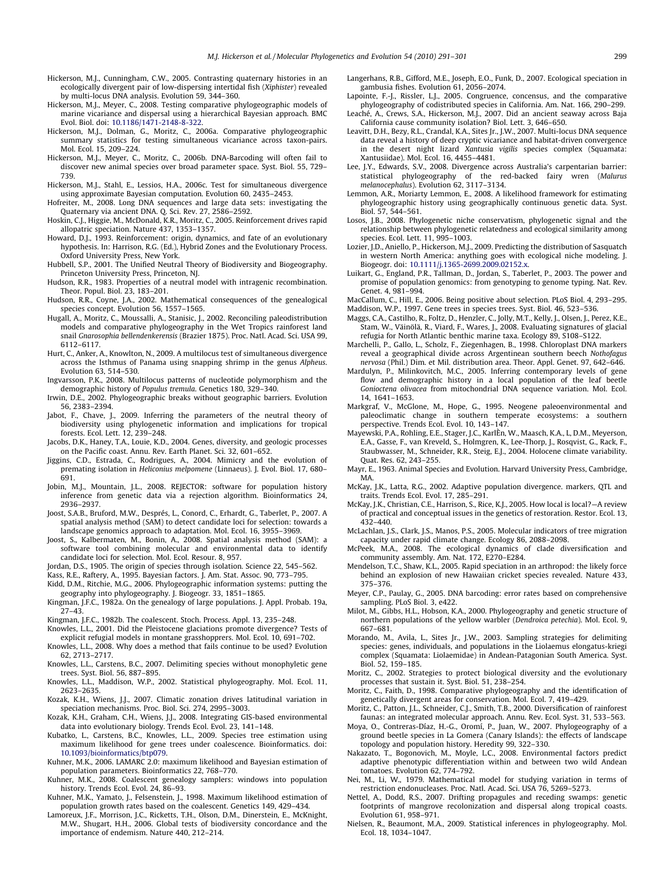- <span id="page-8-0"></span>Hickerson, M.J., Cunningham, C.W., 2005. Contrasting quaternary histories in an ecologically divergent pair of low-dispersing intertidal fish (Xiphister) revealed by multi-locus DNA analysis. Evolution 59, 344–360.
- Hickerson, M.J., Meyer, C., 2008. Testing comparative phylogeographic models of marine vicariance and dispersal using a hierarchical Bayesian approach. BMC Evol. Biol. doi: [10.1186/1471-2148-8-322.](http://dx.doi.org/10.1186/1471-2148-8-322)
- Hickerson, M.J., Dolman, G., Moritz, C., 2006a. Comparative phylogeographic summary statistics for testing simultaneous vicariance across taxon-pairs. Mol. Ecol. 15, 209–224.
- Hickerson, M.J., Meyer, C., Moritz, C., 2006b. DNA-Barcoding will often fail to discover new animal species over broad parameter space. Syst. Biol. 55, 729– 739.
- Hickerson, M.J., Stahl, E., Lessios, H.A., 2006c. Test for simultaneous divergence using approximate Bayesian computation. Evolution 60, 2435–2453.
- Hofreiter, M., 2008. Long DNA sequences and large data sets: investigating the Quaternary via ancient DNA. Q. Sci. Rev. 27, 2586–2592.
- Hoskin, C.J., Higgie, M., McDonald, K.R., Moritz, C., 2005. Reinforcement drives rapid allopatric speciation. Nature 437, 1353–1357.
- Howard, D.J., 1993. Reinforcement: origin, dynamics, and fate of an evolutionary hypothesis. In: Harrison, R.G. (Ed.), Hybrid Zones and the Evolutionary Process. Oxford University Press, New York.
- Hubbell, S.P., 2001. The Unified Neutral Theory of Biodiversity and Biogeography. Princeton University Press, Princeton, NJ.
- Hudson, R.R., 1983. Properties of a neutral model with intragenic recombination. Theor. Popul. Biol. 23, 183–201.
- Hudson, R.R., Coyne, J.A., 2002. Mathematical consequences of the genealogical species concept. Evolution 56, 1557–1565.
- Hugall, A., Moritz, C., Moussalli, A., Stanisic, J., 2002. Reconciling paleodistribution models and comparative phylogeography in the Wet Tropics rainforest land snail Gnarosophia bellendenkerensis (Brazier 1875). Proc. Natl. Acad. Sci. USA 99, 6112–6117.
- Hurt, C., Anker, A., Knowlton, N., 2009. A multilocus test of simultaneous divergence across the Isthmus of Panama using snapping shrimp in the genus Alpheus. Evolution 63, 514–530.
- Ingvarsson, P.K., 2008. Multilocus patterns of nucleotide polymorphism and the demographic history of Populus tremula. Genetics 180, 329–340.
- Irwin, D.E., 2002. Phylogeographic breaks without geographic barriers. Evolution 56, 2383–2394.
- Jabot, F., Chave, J., 2009. Inferring the parameters of the neutral theory of biodiversity using phylogenetic information and implications for tropical forests. Ecol. Lett. 12, 239–248.
- Jacobs, D.K., Haney, T.A., Louie, K.D., 2004. Genes, diversity, and geologic processes on the Pacific coast. Annu. Rev. Earth Planet. Sci. 32, 601–652.
- Jiggins, C.D., Estrada, C., Rodrigues, A., 2004. Mimicry and the evolution of premating isolation in Heliconius melpomene (Linnaeus). J. Evol. Biol. 17, 680– 691.
- Jobin, M.J., Mountain, J.L., 2008. REJECTOR: software for population history inference from genetic data via a rejection algorithm. Bioinformatics 24, 2936–2937.
- Joost, S.A.B., Bruford, M.W., Després, L., Conord, C., Erhardt, G., Taberlet, P., 2007. A spatial analysis method (SAM) to detect candidate loci for selection: towards a landscape genomics approach to adaptation. Mol. Ecol. 16, 3955–3969.
- Joost, S., Kalbermaten, M., Bonin, A., 2008. Spatial analysis method (SAM): a software tool combining molecular and environmental data to identify candidate loci for selection. Mol. Ecol. Resour. 8, 957.
- Jordan, D.S., 1905. The origin of species through isolation. Science 22, 545–562.
- Kass, R.E., Raftery, A., 1995. Bayesian factors. J. Am. Stat. Assoc. 90, 773–795.
- Kidd, D.M., Ritchie, M.G., 2006. Phylogeographic information systems: putting the geography into phylogeography. J. Biogeogr. 33, 1851–1865.
- Kingman, J.F.C., 1982a. On the genealogy of large populations. J. Appl. Probab. 19a, 27–43.
- Kingman, J.F.C., 1982b. The coalescent. Stoch. Process. Appl. 13, 235–248.
- Knowles, L.L., 2001. Did the Pleistocene glaciations promote divergence? Tests of explicit refugial models in montane grasshopprers. Mol. Ecol. 10, 691–702.
- Knowles, L.L., 2008. Why does a method that fails continue to be used? Evolution 62, 2713–2717.
- Knowles, L.L., Carstens, B.C., 2007. Delimiting species without monophyletic gene trees. Syst. Biol. 56, 887–895.
- Knowles, L.L., Maddison, W.P., 2002. Statistical phylogeography. Mol. Ecol. 11, 2623–2635.
- Kozak, K.H., Wiens, J.J., 2007. Climatic zonation drives latitudinal variation in speciation mechanisms. Proc. Biol. Sci. 274, 2995–3003.
- Kozak, K.H., Graham, C.H., Wiens, J.J., 2008. Integrating GIS-based environmental data into evolutionary biology. Trends Ecol. Evol. 23, 141–148.
- Kubatko, L., Carstens, B.C., Knowles, L.L., 2009. Species tree estimation using maximum likelihood for gene trees under coalescence. Bioinformatics. doi: [10.1093/bioinformatics/btp079.](http://dx.doi.org/10.1093/bioinformatics/btp079)
- Kuhner, M.K., 2006. LAMARC 2.0: maximum likelihood and Bayesian estimation of population parameters. Bioinformatics 22, 768–770.
- Kuhner, M.K., 2008. Coalescent genealogy samplers: windows into population history. Trends Ecol. Evol. 24, 86–93.
- Kuhner, M.K., Yamato, J., Felsenstein, J., 1998. Maximum likelihood estimation of population growth rates based on the coalescent. Genetics 149, 429–434.
- Lamoreux, J.F., Morrison, J.C., Ricketts, T.H., Olson, D.M., Dinerstein, E., McKnight, M.W., Shugart, H.H., 2006. Global tests of biodiversity concordance and the importance of endemism. Nature 440, 212–214.
- Langerhans, R.B., Gifford, M.E., Joseph, E.O., Funk, D., 2007. Ecological speciation in gambusia fishes. Evolution 61, 2056–2074.
- Lapointe, F.-J., Rissler, L.J., 2005. Congruence, concensus, and the comparative phylogeography of codistributed species in California. Am. Nat. 166, 290–299.
- Leaché, A., Crews, S.A., Hickerson, M.J., 2007. Did an ancient seaway across Baja California cause community isolation? Biol. Lett. 3, 646–650.
- Leavitt, D.H., Bezy, R.L., Crandal, K.A., Sites Jr., J.W., 2007. Multi-locus DNA sequence data reveal a history of deep cryptic vicariance and habitat-driven convergence in the desert night lizard Xantusia vigilis species complex (Squamata: Xantusiidae). Mol. Ecol. 16, 4455–4481.
- Lee, J.Y., Edwards, S.V., 2008. Divergence across Australia's carpentarian barrier: statistical phylogeography of the red-backed fairy wren (Malurus melanocephalus). Evolution 62, 3117–3134.
- Lemmon, A.R., Moriarty Lemmon, E., 2008. A likelihood framework for estimating phylogeographic history using geographically continuous genetic data. Syst. Biol. 57, 544–561.
- Losos, J.B., 2008. Phylogenetic niche conservatism, phylogenetic signal and the relationship between phylogenetic relatedness and ecological similarity among species. Ecol. Lett. 11, 995–1003.
- Lozier, J.D., Aniello, P., Hickerson, M.J., 2009. Predicting the distribution of Sasquatch in western North America: anything goes with ecological niche modeling. J. Biogeogr. doi: [10.1111/j.1365-2699.2009.02152.x.](http://dx.doi.org/10.1111/j.1365-2699.2009.02152.x)
- Luikart, G., England, P.R., Tallman, D., Jordan, S., Taberlet, P., 2003. The power and promise of population genomics: from genotyping to genome typing. Nat. Rev. Genet. 4, 981–994.
- MacCallum, C., Hill, E., 2006. Being positive about selection. PLoS Biol. 4, 293–295. Maddison, W.P., 1997. Gene trees in species trees. Syst. Biol. 46, 523–536.
- Maggs, C.A., Castilho, R., Foltz, D., Henzler, C., Jolly, M.T., Kelly, J., Olsen, J., Perez, K.E., Stam, W., Väinölä, R., Viard, F., Wares, J., 2008. Evaluating signatures of glacial refugia for North Atlantic benthic marine taxa. Ecology 89, S108–S122.
- Marchelli, P., Gallo, L., Scholz, F., Ziegenhagen, B., 1998. Chloroplast DNA markers reveal a geographical divide across Argentinean southern beech Nothofagus nervosa (Phil.) Dim. et Mil. distribution area. Theor. Appl. Genet. 97, 642–646.
- Mardulyn, P., Milinkovitch, M.C., 2005. Inferring contemporary levels of gene flow and demographic history in a local population of the leaf beetle Gonioctena olivacea from mitochondrial DNA sequence variation. Mol. Ecol. 14, 1641–1653.
- Markgraf, V., McGlone, M., Hope, G., 1995. Neogene paleoenvironmental and paleoclimatic change in southern temperate ecosystems: a southern perspective. Trends Ecol. Evol. 10, 143–147.
- Mayewski, P.A., Rohling, E.E., Stager, J.C., KarlÈn, W., Maasch, K.A., L, D.M., Meyerson, E.A., Gasse, F., van Kreveld, S., Holmgren, K., Lee-Thorp, J., Rosqvist, G., Rack, F., Staubwasser, M., Schneider, R.R., Steig, E.J., 2004. Holocene climate variability. Quat. Res. 62, 243–255.
- Mayr, E., 1963. Animal Species and Evolution. Harvard University Press, Cambridge, MA.
- McKay, J.K., Latta, R.G., 2002. Adaptive population divergence. markers, QTL and traits. Trends Ecol. Evol. 17, 285–291.
- McKay, J.K., Christian, C.E., Harrison, S., Rice, K.J., 2005. How local is local?—A review of practical and conceptual issues in the genetics of restoration. Restor. Ecol. 13, 432–440.
- McLachlan, J.S., Clark, J.S., Manos, P.S., 2005. Molecular indicators of tree migration capacity under rapid climate change. Ecology 86, 2088–2098.
- McPeek, M.A., 2008. The ecological dynamics of clade diversification and community assembly. Am. Nat. 172, E270–E284.
- Mendelson, T.C., Shaw, K.L., 2005. Rapid speciation in an arthropod: the likely force behind an explosion of new Hawaiian cricket species revealed. Nature 433, 375–376.
- Meyer, C.P., Paulay, G., 2005. DNA barcoding: error rates based on comprehensive sampling. PLoS Biol. 3, e422.
- Milot, M., Gibbs, H.L., Hobson, K.A., 2000. Phylogeography and genetic structure of northern populations of the yellow warbler (Dendroica petechia). Mol. Ecol. 9, 667–681.
- Morando, M., Avila, L., Sites Jr., J.W., 2003. Sampling strategies for delimiting species: genes, individuals, and populations in the Liolaemus elongatus-kriegi complex (Squamata: Liolaemidae) in Andean-Patagonian South America. Syst. Biol. 52, 159–185.
- Moritz, C., 2002. Strategies to protect biological diversity and the evolutionary processes that sustain it. Syst. Biol. 51, 238–254.
- Moritz, C., Faith, D., 1998. Comparative phylogeography and the identification of genetically divergent areas for conservation. Mol. Ecol. 7, 419–429.
- Moritz, C., Patton, J.L., Schneider, C.J., Smith, T.B., 2000. Diversification of rainforest faunas: an integrated molecular approach. Annu. Rev. Ecol. Syst. 31, 533–563.
- Moya, O., Contreras-Díaz, H.-G., Oromí, P., Juan, W., 2007. Phylogeography of a ground beetle species in La Gomera (Canary Islands): the effects of landscape topology and population history. Heredity 99, 322–330.
- Nakazato, T., Bogonovich, M., Moyle, L.C., 2008. Environmental factors predict adaptive phenotypic differentiation within and between two wild Andean tomatoes. Evolution 62, 774–792.
- Nei, M., Li, W., 1979. Mathematical model for studying variation in terms of restriction endonucleases. Proc. Natl. Acad. Sci. USA 76, 5269–5273.
- Nettel, A., Dodd, R.S., 2007. Drifting propagules and receding swamps: genetic footprints of mangrove recolonization and dispersal along tropical coasts. Evolution 61, 958–971.
- Nielsen, R., Beaumont, M.A., 2009. Statistical inferences in phylogeography. Mol. Ecol. 18, 1034–1047.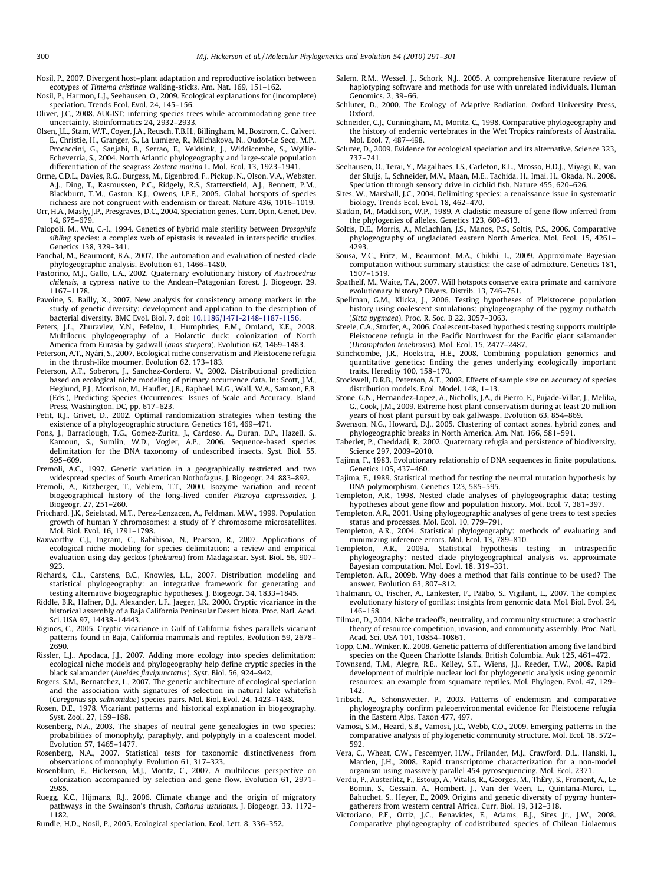<span id="page-9-0"></span>Nosil, P., 2007. Divergent host–plant adaptation and reproductive isolation between ecotypes of Timema cristinae walking-sticks. Am. Nat. 169, 151–162.

Nosil, P., Harmon, L.J., Seehausen, O., 2009. Ecological explanations for (incomplete) speciation. Trends Ecol. Evol. 24, 145–156.

- Oliver, J.C., 2008. AUGIST: inferring species trees while accommodating gene tree uncertainty. Bioinformatics 24, 2932–2933.
- Olsen, J.L., Stam, W.T., Coyer, J.A., Reusch, T.B.H., Billingham, M., Bostrom, C., Calvert, E., Christie, H., Granger, S., La Lumiere, R., Milchakova, N., Oudot-Le Secq, M.P., Procaccini, G., Sanjabi, B., Serrao, E., Veldsink, J., Widdicombe, S., Wyllie-Echeverria, S., 2004. North Atlantic phylogeography and large-scale population differentiation of the seagrass Zostera marina L. Mol. Ecol. 13, 1923–1941.
- Orme, C.D.L., Davies, R.G., Burgess, M., Eigenbrod, F., Pickup, N., Olson, V.A., Webster, A.J., Ding, T., Rasmussen, P.C., Ridgely, R.S., Stattersfield, A.J., Bennett, P.M., Blackburn, T.M., Gaston, K.J., Owens, I.P.F., 2005. Global hotspots of species richness are not congruent with endemism or threat. Nature 436, 1016–1019.
- Orr, H.A., Masly, J.P., Presgraves, D.C., 2004. Speciation genes. Curr. Opin. Genet. Dev. 14, 675–679.
- Palopoli, M., Wu, C.-I., 1994. Genetics of hybrid male sterility between Drosophila sibling species: a complex web of epistasis is revealed in interspecific studies. Genetics 138, 329–341.
- Panchal, M., Beaumont, B.A., 2007. The automation and evaluation of nested clade phylogeographic analysis. Evolution 61, 1466–1480.
- Pastorino, M.J., Gallo, L.A., 2002. Quaternary evolutionary history of Austrocedrus chilensis, a cypress native to the Andean–Patagonian forest. J. Biogeogr. 29, 1167–1178.
- Pavoine, S., Bailly, X., 2007. New analysis for consistency among markers in the study of genetic diversity: development and application to the description of bacterial diversity. BMC Evol. Biol. 7. doi: [10.1186/1471-2148-1187-1156](http://dx.doi.org/10.1186/1471-2148-1187-1156).
- Peters, J.L., Zhuravlev, Y.N., Fefelov, I., Humphries, E.M., Omland, K.E., 2008. Multilocus phylogeography of a Holarctic duck: colonization of North America from Eurasia by gadwall (anas strepera). Evolution 62, 1469–1483.
- Peterson, A.T., Nyári, S., 2007. Ecological niche conservatism and Pleistocene refugia in the thrush-like mourner. Evolution 62, 173–183.
- Peterson, A.T., Soberon, J., Sanchez-Cordero, V., 2002. Distributional prediction based on ecological niche modeling of primary occurrence data. In: Scott, J.M., Heglund, P.J., Morrison, M., Haufler, J.B., Raphael, M.G., Wall, W.A., Samson, F.B. (Eds.), Predicting Species Occurrences: Issues of Scale and Accuracy. Island Press, Washington, DC, pp. 617–623.
- Petit, R.J., Grivet, D., 2002. Optimal randomization strategies when testing the existence of a phylogeographic structure. Genetics 161, 469–471.
- Pons, J., Barraclough, T.G., Gomez-Zurita, J., Cardoso, A., Duran, D.P., Hazell, S., Kamoun, S., Sumlin, W.D., Vogler, A.P., 2006. Sequence-based species delimitation for the DNA taxonomy of undescribed insects. Syst. Biol. 55, 595–609.
- Premoli, A.C., 1997. Genetic variation in a geographically restricted and two widespread species of South American Nothofagus. J. Biogeogr. 24, 883–892.
- Premoli, A., Kitzberger, T., Veblem, T.T., 2000. Isozyme variation and recent biogeographical history of the long-lived conifer Fitzroya cupressoides. J. Biogeogr. 27, 251–260.
- Pritchard, J.K., Seielstad, M.T., Perez-Lenzacen, A., Feldman, M.W., 1999. Population growth of human Y chromosomes: a study of Y chromosome microsatellites. Mol. Biol. Evol. 16, 1791–1798.
- Raxworthy, C.J., Ingram, C., Rabibisoa, N., Pearson, R., 2007. Applications of ecological niche modeling for species delimitation: a review and empirical evaluation using day geckos (phelsuma) from Madagascar. Syst. Biol. 56, 907– 923.
- Richards, C.L., Carstens, B.C., Knowles, L.L., 2007. Distribution modeling and statistical phylogeography: an integrative framework for generating and testing alternative biogeographic hypotheses. J. Biogeogr. 34, 1833–1845.
- Riddle, B.R., Hafner, D.J., Alexander, L.F., Jaeger, J.R., 2000. Cryptic vicariance in the historical assembly of a Baja California Peninsular Desert biota. Proc. Natl. Acad. Sci. USA 97, 14438–14443.
- Riginos, C., 2005. Cryptic vicariance in Gulf of California fishes parallels vicariant patterns found in Baja, California mammals and reptiles. Evolution 59, 2678– 2690.
- Rissler, L.J., Apodaca, J.J., 2007. Adding more ecology into species delimitation: ecological niche models and phylogeography help define cryptic species in the black salamander (Aneides flavipunctatus). Syst. Biol. 56, 924–942.
- Rogers, S.M., Bernatchez, L., 2007. The genetic architecture of ecological speciation and the association with signatures of selection in natural lake whitefish (Coregonus sp. salmonidae) species pairs. Mol. Biol. Evol. 24, 1423–1438.
- Rosen, D.E., 1978. Vicariant patterns and historical explanation in biogeography. Syst. Zool. 27, 159–188.
- Rosenberg, N.A., 2003. The shapes of neutral gene genealogies in two species: probabilities of monophyly, paraphyly, and polyphyly in a coalescent model. Evolution 57, 1465–1477.
- Rosenberg, N.A., 2007. Statistical tests for taxonomic distinctiveness from observations of monophyly. Evolution 61, 317–323.
- Rosenblum, E., Hickerson, M.J., Moritz, C., 2007. A multilocus perspective on colonization accompanied by selection and gene flow. Evolution 61, 2971– 2985.
- Ruegg, K.C., Hijmans, R.J., 2006. Climate change and the origin of migratory pathways in the Swainson's thrush, Catharus ustulatus. J. Biogeogr. 33, 1172– 1182.
- Rundle, H.D., Nosil, P., 2005. Ecological speciation. Ecol. Lett. 8, 336–352.
- Salem, R.M., Wessel, J., Schork, N.J., 2005. A comprehensive literature review of haplotyping software and methods for use with unrelated individuals. Human Genomics. 2, 39–66.
- Schluter, D., 2000. The Ecology of Adaptive Radiation. Oxford University Press, Oxford.
- Schneider, C.J., Cunningham, M., Moritz, C., 1998. Comparative phylogeography and the history of endemic vertebrates in the Wet Tropics rainforests of Australia. Mol. Ecol. 7, 487–498.
- Scluter, D., 2009. Evidence for ecological speciation and its alternative. Science 323, 737–741.
- Seehausen, O., Terai, Y., Magalhaes, I.S., Carleton, K.L., Mrosso, H.D.J., Miyagi, R., van der Sluijs, I., Schneider, M.V., Maan, M.E., Tachida, H., Imai, H., Okada, N., 2008. Speciation through sensory drive in cichlid fish. Nature 455, 620–626.
- Sites, W., Marshall, J.C., 2004. Delimiting species: a renaissance issue in systematic biology. Trends Ecol. Evol. 18, 462–470.
- Slatkin, M., Maddison, W.P., 1989. A cladistic measure of gene flow inferred from the phylogenies of alleles. Genetics 123, 603–613.
- Soltis, D.E., Morris, A., McLachlan, J.S., Manos, P.S., Soltis, P.S., 2006. Comparative phylogeography of unglaciated eastern North America. Mol. Ecol. 15, 4261– 4293.
- Sousa, V.C., Fritz, M., Beaumont, M.A., Chikhi, L., 2009. Approximate Bayesian computation without summary statistics: the case of admixture. Genetics 181, 1507–1519.
- Spathelf, M., Waite, T.A., 2007. Will hotspots conserve extra primate and carnivore evolutionary history? Divers. Distrib. 13, 746–751.
- Spellman, G.M., Klicka, J., 2006. Testing hypotheses of Pleistocene population history using coalescent simulations: phylogeography of the pygmy nuthatch (Sitta pygmaea). Proc. R. Soc. B 22, 3057–3063.
- Steele, C.A., Storfer, A., 2006. Coalescent-based hypothesis testing supports multiple Pleistocene refugia in the Pacific Northwest for the Pacific giant salamander (Dicamptodon tenebrosus). Mol. Ecol. 15, 2477–2487.
- Stinchcombe, J.R., Hoekstra, H.E., 2008. Combining population genomics and quantitative genetics: finding the genes underlying ecologically important traits. Heredity 100, 158–170.
- Stockwell, D.R.B., Peterson, A.T., 2002. Effects of sample size on accuracy of species distribution models. Ecol. Model. 148, 1–13.
- Stone, G.N., Hernandez-Lopez, A., Nicholls, J.A., di Pierro, E., Pujade-Villar, J., Melika, G., Cook, J.M., 2009. Extreme host plant conservatism during at least 20 million years of host plant pursuit by oak gallwasps. Evolution 63, 854–869.
- Swenson, N.G., Howard, D.J., 2005. Clustering of contact zones, hybrid zones, and phylogeographic breaks in North America. Am. Nat. 166, 581–591.
- Taberlet, P., Cheddadi, R., 2002. Quaternary refugia and persistence of biodiversity. Science 297, 2009–2010.
- Tajima, F., 1983. Evolutionary relationship of DNA sequences in finite populations. Genetics 105, 437–460.
- Tajima, F., 1989. Statistical method for testing the neutral mutation hypothesis by DNA polymorphism. Genetics 123, 585–595.
- Templeton, A.R., 1998. Nested clade analyses of phylogeographic data: testing hypotheses about gene flow and population history. Mol. Ecol. 7, 381–397.
- Templeton, A.R., 2001. Using phylogeographic analyses of gene trees to test species status and processes. Mol. Ecol. 10, 779–791.
- Templeton, A.R., 2004. Statistical phylogeography: methods of evaluating and minimizing inference errors. Mol. Ecol. 13, 789–810.
- Templeton, A.R., 2009a. Statistical hypothesis testing in intraspecific phylogeography: nested clade phylogeographical analysis vs. approximate Bayesian computation. Mol. Eovl. 18, 319–331.
- Templeton, A.R., 2009b. Why does a method that fails continue to be used? The answer. Evolution 63, 807–812.
- Thalmann, O., Fischer, A., Lankester, F., Pääbo, S., Vigilant, L., 2007. The complex evolutionary history of gorillas: insights from genomic data. Mol. Biol. Evol. 24, 146–158.
- Tilman, D., 2004. Niche tradeoffs, neutrality, and community structure: a stochastic theory of resource competition, invasion, and community assembly. Proc. Natl. Acad. Sci. USA 101, 10854–10861.
- Topp, C.M., Winker, K., 2008. Genetic patterns of differentiation among five landbird
- species on the Queen Charlotte Islands, British Columbia. Auk 125, 461–472. Townsend, T.M., Alegre, R.E., Kelley, S.T., Wiens, J.J., Reeder, T.W., 2008. Rapid development of multiple nuclear loci for phylogenetic analysis using genomic resources: an example from squamate reptiles. Mol. Phylogen. Evol. 47, 129– 142.
- Tribsch, A., Schonswetter, P., 2003. Patterns of endemism and comparative phylogeography confirm paleoenvironmental evidence for Pleistocene refugia in the Eastern Alps. Taxon 477, 497.
- Vamosi, S.M., Heard, S.B., Vamosi, J.C., Webb, C.O., 2009. Emerging patterns in the comparative analysis of phylogenetic community structure. Mol. Ecol. 18, 572– 592.
- Vera, C., Wheat, C.W., Fescemyer, H.W., Frilander, M.J., Crawford, D.L., Hanski, I., Marden, J.H., 2008. Rapid transcriptome characterization for a non-model organism using massively parallel 454 pyrosequencing. Mol. Ecol. 2371.
- Verdu, P., Austerlitz, F., Estoup, A., Vitalis, R., Georges, M., ThÈry, S., Froment, A., Le Bomin, S., Gessain, A., Hombert, J., Van der Veen, L., Quintana-Murci, L., Bahuchet, S., Heyer, E., 2009. Origins and genetic diversity of pygmy huntergatherers from western central Africa. Curr. Biol. 19, 312–318.
- Victoriano, P.F., Ortiz, J.C., Benavides, E., Adams, B.J., Sites Jr., J.W., 2008. Comparative phylogeography of codistributed species of Chilean Liolaemus